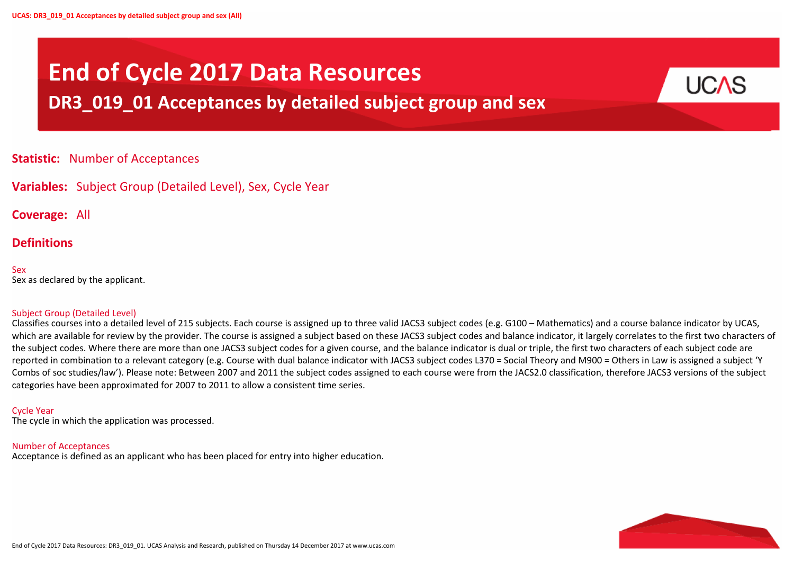



# **End of Cycle 2017 Data Resources**

## **DR3\_019\_01 Acceptances by detailed subject group and sex**

## **Statistic:** Number of Acceptances

**Variables:** Subject Group (Detailed Level), Sex, Cycle Year

**Coverage:** All

## **Definitions**

Sex Sex as declared by the applicant.

## Subject Group (Detailed Level)

Classifies courses into a detailed level of 215 subjects. Each course is assigned up to three valid JACS3 subject codes (e.g. G100 – Mathematics) and a course balance indicator by UCAS, which are available for review by the provider. The course is assigned a subject based on these JACS3 subject codes and balance indicator, it largely correlates to the first two characters of the subject codes. Where there are more than one JACS3 subject codes for a given course, and the balance indicator is dual or triple, the first two characters of each subject code are reported in combination to a relevant category (e.g. Course with dual balance indicator with JACS3 subject codes L370 = Social Theory and M900 = Others in Law is assigned a subject 'Y Combs of soc studies/law'). Please note: Between 2007 and 2011 the subject codes assigned to each course were from the JACS2.0 classification, therefore JACS3 versions of the subject categories have been approximated for 2007 to 2011 to allow a consistent time series.

## Cycle Year

The cycle in which the application was processed.

#### Number of Acceptances

Acceptance is defined as an applicant who has been placed for entry into higher education.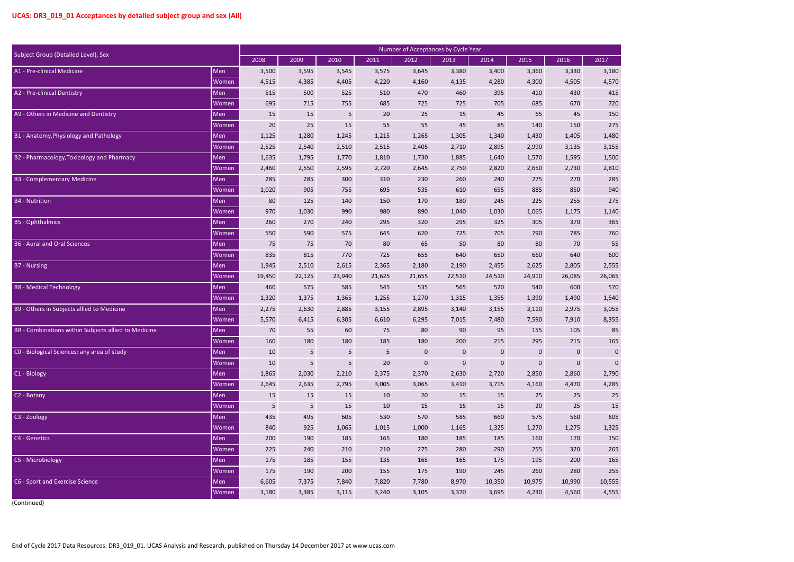| $\overline{)17}$ |        |
|------------------|--------|
|                  | 3,180  |
|                  | 4,570  |
|                  | 415    |
|                  | 720    |
|                  | 150    |
|                  | 275    |
|                  | 1,480  |
|                  | 3,155  |
|                  | 1,500  |
|                  | 2.810  |
|                  | 285    |
|                  | 940    |
|                  | 275    |
|                  | 1,140  |
|                  | 365    |
|                  | 760    |
|                  | 55     |
|                  | 600    |
|                  | 2,555  |
|                  | 6,065  |
|                  | 570    |
|                  | 1,540  |
|                  | 3,055  |
|                  | 8,355  |
|                  | 85     |
|                  | 165    |
|                  | 0      |
|                  | 0      |
|                  | 2,790  |
|                  | 4,285  |
|                  | 25     |
|                  | 15     |
|                  | 605    |
|                  | 1.325  |
|                  | 150    |
|                  | 265    |
|                  | 165    |
|                  | 255    |
|                  | 10,555 |
|                  | 4,555  |

| Subject Group (Detailed Level), Sex                  |              |        |        |            |            |           | Number of Acceptances by Cycle Year |             |           |             |             |
|------------------------------------------------------|--------------|--------|--------|------------|------------|-----------|-------------------------------------|-------------|-----------|-------------|-------------|
|                                                      |              | 2008   | 2009   | 2010       | 2011       | 2012      | 2013                                | 2014        | 2015      | 2016        | 2017        |
| A1 - Pre-clinical Medicine                           | Men          | 3,500  | 3,595  | 3,545      | 3,575      | 3,645     | 3,380                               | 3,400       | 3,360     | 3,330       | 3,180       |
|                                                      | Women        | 4,515  | 4,385  | 4,405      | 4,220      | 4,160     | 4,135                               | 4,280       | 4,300     | 4,505       | 4,570       |
| A2 - Pre-clinical Dentistry                          | Men          | 515    | 500    | 525        | 510        | 470       | 460                                 | 395         | 410       | 430         | 415         |
|                                                      | Women        | 695    | 715    | 755        | 685        | 725       | 725                                 | 705         | 685       | 670         | 720         |
| A9 - Others in Medicine and Dentistry                | Men          | 15     | 15     | $\sqrt{5}$ | 20         | 25        | 15                                  | 45          | 65        | 45          | 150         |
|                                                      | Women        | 20     | 25     | 15         | 55         | 55        | 45                                  | 85          | 140       | 150         | 275         |
| B1 - Anatomy, Physiology and Pathology               | Men          | 1,125  | 1,280  | 1,245      | 1,215      | 1,265     | 1,305                               | 1,340       | 1,430     | 1,405       | 1,480       |
|                                                      | Women        | 2,525  | 2,540  | 2,510      | 2,515      | 2,405     | 2,710                               | 2,895       | 2,990     | 3,135       | 3,155       |
| B2 - Pharmacology, Toxicology and Pharmacy           | Men          | 1,635  | 1,795  | 1,770      | 1,810      | 1,730     | 1,885                               | 1,640       | 1,570     | 1,595       | 1,500       |
|                                                      | Women        | 2,460  | 2,550  | 2,595      | 2,720      | 2,645     | 2,750                               | 2,820       | 2,650     | 2,730       | 2,810       |
| <b>B3 - Complementary Medicine</b>                   | Men          | 285    | 285    | 300        | 310        | 230       | 260                                 | 240         | 275       | 270         | 285         |
|                                                      | Women        | 1,020  | 905    | 755        | 695        | 535       | 610                                 | 655         | 885       | 850         | 940         |
| <b>B4</b> - Nutrition                                | Men          | 80     | 125    | 140        | 150        | 170       | 180                                 | 245         | 225       | 255         | 275         |
|                                                      | Women        | 970    | 1,030  | 990        | 980        | 890       | 1,040                               | 1,030       | 1,065     | 1,175       | 1,140       |
| <b>B5</b> - Ophthalmics                              | Men          | 260    | 270    | 240        | 295        | 320       | 295                                 | 325         | 305       | 370         | 365         |
|                                                      | Women        | 550    | 590    | 575        | 645        | 620       | 725                                 | 705         | 790       | 785         | 760         |
| <b>B6 - Aural and Oral Sciences</b>                  | Men          | 75     | 75     | 70         | 80         | 65        | 50                                  | 80          | 80        | 70          | 55          |
|                                                      | Women        | 835    | 815    | 770        | 725        | 655       | 640                                 | 650         | 660       | 640         | 600         |
| <b>B7</b> - Nursing                                  | Men          | 1,945  | 2,510  | 2,615      | 2,365      | 2,180     | 2,190                               | 2,455       | 2,625     | 2,805       | 2,555       |
|                                                      | Women        | 19,450 | 22,125 | 23,940     | 21,625     | 21,655    | 22,510                              | 24,510      | 24,910    | 26,085      | 26,065      |
| <b>B8 - Medical Technology</b>                       | Men          | 460    | 575    | 585        | 545        | 535       | 565                                 | 520         | 540       | 600         | 570         |
|                                                      | Women        | 1,320  | 1,375  | 1,365      | 1,255      | 1,270     | 1,315                               | 1,355       | 1,390     | 1,490       | 1,540       |
| B9 - Others in Subjects allied to Medicine           | Men          | 2,275  | 2,630  | 2,885      | 3,155      | 2,895     | 3,140                               | 3,155       | 3,110     | 2,975       | 3,055       |
|                                                      | Women        | 5,570  | 6,415  | 6,305      | 6,610      | 6,295     | 7,015                               | 7,480       | 7,590     | 7,910       | 8,355       |
| BB - Combinations within Subjects allied to Medicine | Men          | 70     | 55     | 60         | 75         | 80        | 90                                  | 95          | 155       | 105         | 85          |
|                                                      | Women        | 160    | 180    | 180        | 185        | 180       | 200                                 | 215         | 295       | 215         | 165         |
| CO - Biological Sciences: any area of study          | Men          | 10     | 5      | $\sqrt{5}$ | $\sqrt{5}$ | $\pmb{0}$ | $\mathbf 0$                         | $\mathbf 0$ | $\pmb{0}$ | $\pmb{0}$   | $\mathbf 0$ |
|                                                      | Women        | 10     | 5      | $\sqrt{5}$ | 20         | $\pmb{0}$ | $\pmb{0}$                           | $\mathbf 0$ | $\pmb{0}$ | $\mathbf 0$ | $\mathbf 0$ |
| C <sub>1</sub> - Biology                             | Men          | 1,865  | 2,030  | 2,210      | 2,375      | 2,370     | 2,630                               | 2,720       | 2,850     | 2,860       | 2,790       |
|                                                      | Women        | 2,645  | 2,635  | 2,795      | 3,005      | 3,065     | 3,410                               | 3,715       | 4,160     | 4,470       | 4,285       |
| C2 - Botany                                          | Men          | 15     | 15     | 15         | 10         | 20        | 15                                  | 15          | 25        | 25          | 25          |
|                                                      | Women        | 5      | 5      | 15         | 10         | 15        | 15                                  | 15          | 20        | 25          | 15          |
| C3 - Zoology                                         | Men          | 435    | 495    | 605        | 530        | 570       | 585                                 | 660         | 575       | 560         | 605         |
|                                                      | Women        | 840    | 925    | 1,065      | 1,015      | 1,000     | 1,165                               | 1,325       | 1,270     | 1,275       | 1,325       |
| C4 - Genetics                                        | Men          | 200    | 190    | 185        | 165        | 180       | 185                                 | 185         | 160       | 170         | 150         |
|                                                      | Women        | 225    | 240    | 210        | 210        | 275       | 280                                 | 290         | 255       | 320         | 265         |
| C5 - Microbiology                                    | Men          | 175    | 185    | 155        | 135        | 165       | 165                                 | 175         | 195       | 200         | 165         |
|                                                      | <b>Women</b> | 175    | 190    | 200        | 155        | 175       | 190                                 | 245         | 260       | 280         | 255         |
| C6 - Sport and Exercise Science                      | Men          | 6,605  | 7,375  | 7,840      | 7,820      | 7,780     | 8,970                               | 10,350      | 10,975    | 10,990      | 10,555      |
|                                                      | Women        | 3,180  | 3,385  | 3,115      | 3,240      | 3,105     | 3,370                               | 3,695       | 4,230     | 4,560       | 4,555       |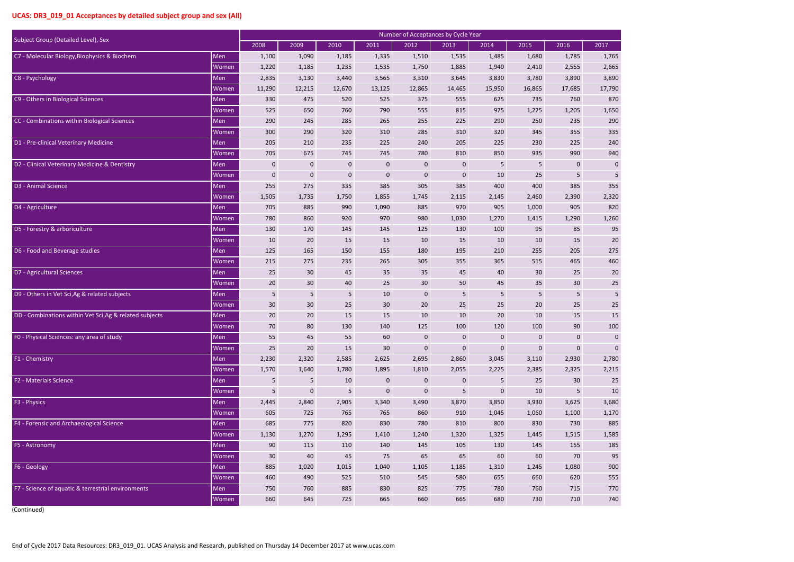| $\overline{)17}$ |                |
|------------------|----------------|
|                  |                |
|                  | 1,765          |
|                  | 2,665          |
|                  | 3,890          |
| $\overline{1}$   | 7,790          |
|                  | 870            |
|                  | 1,650          |
|                  | 290            |
|                  | 335            |
|                  | 240            |
|                  | 940            |
|                  | $\overline{0}$ |
|                  | 5              |
|                  | 355            |
|                  | 2,320          |
|                  | 820            |
|                  | 1,260          |
|                  | 95             |
|                  | 20             |
|                  | 275            |
|                  | 460            |
|                  | 20             |
|                  | 25             |
|                  | 5              |
|                  | 25             |
|                  | 15             |
|                  | 100            |
|                  | 0              |
|                  | 0              |
|                  | 2,780          |
|                  | 2,215          |
|                  | 25             |
|                  | 10             |
|                  | 3,680          |
|                  | 1,170          |
|                  | 885            |
| 1,               | 585            |
|                  | 185            |
|                  | 95             |
|                  | 900            |
|                  | 555            |
|                  | 770            |
|                  | 740            |
|                  |                |

|                                                         | Number of Acceptances by Cycle Year |              |                 |             |                  |             |              |             |                |                 |             |  |
|---------------------------------------------------------|-------------------------------------|--------------|-----------------|-------------|------------------|-------------|--------------|-------------|----------------|-----------------|-------------|--|
| Subject Group (Detailed Level), Sex                     |                                     | 2008         | 2009            | 2010        | 2011             | 2012        | 2013         | 2014        | 2015           | 2016            | 2017        |  |
| C7 - Molecular Biology, Biophysics & Biochem            | Men                                 | 1,100        | 1,090           | 1,185       | 1,335            | 1,510       | 1,535        | 1,485       | 1,680          | 1,785           | 1,765       |  |
|                                                         | Women                               | 1,220        | 1,185           | 1,235       | 1,535            | 1,750       | 1,885        | 1,940       | 2,410          | 2,555           | 2,665       |  |
| C8 - Psychology                                         | Men                                 | 2,835        | 3,130           | 3,440       | 3,565            | 3,310       | 3,645        | 3,830       | 3,780          | 3,890           | 3,890       |  |
|                                                         | Women                               | 11,290       | 12,215          | 12,670      | 13,125           | 12,865      | 14,465       | 15,950      | 16,865         | 17,685          | 17,790      |  |
| C9 - Others in Biological Sciences                      | Men                                 | 330          | 475             | 520         | 525              | 375         | 555          | 625         | 735            | 760             | 870         |  |
|                                                         | Women                               | 525          | 650             | 760         | 790              | 555         | 815          | 975         | 1,225          | 1,205           | 1,650       |  |
| CC - Combinations within Biological Sciences            | Men                                 | 290          | 245             | 285         | 265              | 255         | 225          | 290         | 250            | 235             | 290         |  |
|                                                         | Women                               | 300          | 290             | 320         | 310              | 285         | 310          | 320         | 345            | 355             | 335         |  |
| D1 - Pre-clinical Veterinary Medicine                   | Men                                 | 205          | 210             | 235         | 225              | 240         | 205          | 225         | 230            | 225             | 240         |  |
|                                                         | Women                               | 705          | 675             | 745         | 745              | 780         | 810          | 850         | 935            | 990             | 940         |  |
| D2 - Clinical Veterinary Medicine & Dentistry           | Men                                 | $\mathbf{0}$ | $\mathbf 0$     | $\mathbf 0$ | $\mathbf 0$      | $\mathbf 0$ | $\mathbf{0}$ | 5           | $5\phantom{.}$ | $\mathbf 0$     | $\mathbf 0$ |  |
|                                                         | Women                               | $\pmb{0}$    | $\mathbf 0$     | $\mathbf 0$ | $\mathbf 0$      | $\mathbf 0$ | $\mathbf 0$  | 10          | 25             | 5               | 5           |  |
| D3 - Animal Science                                     | Men                                 | 255          | 275             | 335         | 385              | 305         | 385          | 400         | 400            | 385             | 355         |  |
|                                                         | Women                               | 1,505        | 1,735           | 1,750       | 1,855            | 1,745       | 2,115        | 2,145       | 2,460          | 2,390           | 2,320       |  |
| D4 - Agriculture                                        | Men                                 | 705          | 885             | 990         | 1,090            | 885         | 970          | 905         | 1,000          | 905             | 820         |  |
|                                                         | Women                               | 780          | 860             | 920         | 970              | 980         | 1,030        | 1,270       | 1,415          | 1,290           | 1,260       |  |
| D5 - Forestry & arboriculture                           | Men                                 | 130          | 170             | 145         | 145              | 125         | 130          | 100         | 95             | 85              | 95          |  |
|                                                         | Women                               | 10           | 20              | 15          | 15               | 10          | 15           | 10          | 10             | 15              | 20          |  |
| D6 - Food and Beverage studies                          | Men                                 | 125          | 165             | 150         | 155              | 180         | 195          | 210         | 255            | 205             | 275         |  |
|                                                         | Women                               | 215          | 275             | 235         | 265              | 305         | 355          | 365         | 515            | 465             | 460         |  |
| D7 - Agricultural Sciences                              | Men                                 | 25           | 30              | 45          | 35               | 35          | 45           | 40          | 30             | 25              | 20          |  |
|                                                         | Women                               | 20           | 30 <sup>°</sup> | 40          | 25               | 30          | 50           | 45          | 35             | 30 <sup>°</sup> | 25          |  |
| D9 - Others in Vet Sci, Ag & related subjects           | Men                                 | 5            | 5               | 5           | 10               | $\mathbf 0$ | 5            | $\sqrt{5}$  | $\sqrt{5}$     | 5               | 5           |  |
|                                                         | Women                               | 30           | 30              | 25          | 30 <sup>°</sup>  | 20          | 25           | 25          | 20             | 25              | 25          |  |
| DD - Combinations within Vet Sci, Ag & related subjects | Men                                 | 20           | 20              | 15          | 15               | 10          | 10           | 20          | 10             | 15              | 15          |  |
|                                                         | Women                               | 70           | 80              | 130         | 140              | 125         | 100          | 120         | 100            | 90              | 100         |  |
| FO - Physical Sciences: any area of study               | Men                                 | 55           | 45              | 55          | 60               | $\pmb{0}$   | $\mathbf{0}$ | $\pmb{0}$   | $\pmb{0}$      | $\mathbf 0$     |             |  |
|                                                         | Women                               | 25           | 20              | 15          | 30 <sup>°</sup>  | $\mathbf 0$ | $\mathbf{0}$ | $\mathbf 0$ | $\mathbf 0$    | $\mathbf 0$     | $\mathbf 0$ |  |
| F1 - Chemistry                                          | Men                                 | 2,230        | 2,320           | 2,585       | 2,625            | 2,695       | 2,860        | 3,045       | 3,110          | 2,930           | 2,780       |  |
|                                                         | Women                               | 1,570        | 1,640           | 1,780       | 1,895            | 1,810       | 2,055        | 2,225       | 2,385          | 2,325           | 2,215       |  |
| <b>F2 - Materials Science</b>                           | Men                                 | 5            | 5               | 10          | $\mathbf{0}$     | $\mathbf 0$ | $\mathbf{0}$ | 5           | 25             | 30              | 25          |  |
|                                                         | Women                               | 5            | $\mathbf 0$     | 5           | $\boldsymbol{0}$ | $\mathbf 0$ | 5            | $\mathbf 0$ | 10             | 5               | 10          |  |
| F3 - Physics                                            | Men                                 | 2,445        | 2,840           | 2,905       | 3,340            | 3,490       | 3,870        | 3,850       | 3,930          | 3,625           | 3,680       |  |
|                                                         | Women                               | 605          | 725             | 765         | 765              | 860         | 910          | 1,045       | 1,060          | 1,100           | 1,170       |  |
| F4 - Forensic and Archaeological Science                | Men                                 | 685          | 775             | 820         | 830              | 780         | 810          | 800         | 830            | 730             | 885         |  |
|                                                         | Women                               | 1,130        | 1,270           | 1,295       | 1,410            | 1,240       | 1,320        | 1,325       | 1,445          | 1,515           | 1,585       |  |
| F5 - Astronomy                                          | Men                                 | 90           | 115             | 110         | 140              | 145         | 105          | 130         | 145            | 155             | 185         |  |
|                                                         | Women                               | 30           | 40              | 45          | 75               | 65          | 65           | 60          | 60             | 70              | 95          |  |
| F6 - Geology                                            | Men                                 | 885          | 1,020           | 1,015       | 1,040            | 1,105       | 1,185        | 1,310       | 1,245          | 1,080           | 900         |  |
|                                                         | Women                               | 460          | 490             | 525         | 510              | 545         | 580          | 655         | 660            | 620             | 555         |  |
| F7 - Science of aquatic & terrestrial environments      | Men                                 | 750          | 760             | 885         | 830              | 825         | 775          | 780         | 760            | 715             | 770         |  |
|                                                         | Women                               | 660          | 645             | 725         | 665              | 660         | 665          | 680         | 730            | 710             | 740         |  |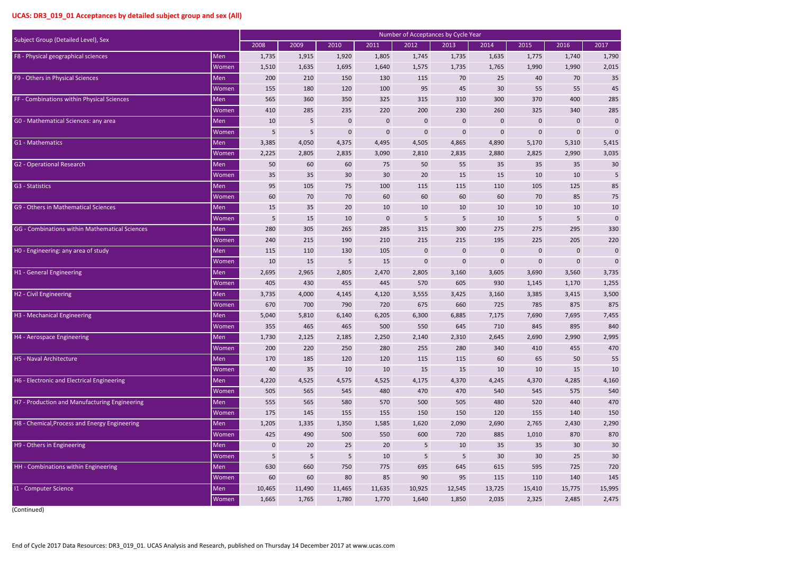| $\overline{17}$ |       |     |                 |
|-----------------|-------|-----|-----------------|
|                 | 1,790 |     |                 |
|                 | 2,015 |     |                 |
|                 |       | 35  |                 |
|                 |       | 45  |                 |
|                 |       | 285 |                 |
|                 |       | 285 |                 |
|                 |       |     | 0               |
|                 |       |     | 0               |
| 5,415           |       |     |                 |
|                 | 3,035 |     |                 |
|                 |       |     |                 |
|                 |       |     | 30              |
|                 |       |     | 5               |
|                 |       | 85  |                 |
|                 |       |     | 75              |
|                 |       |     | 10              |
|                 |       |     | 0               |
|                 |       | 330 |                 |
|                 |       |     | 220             |
|                 |       |     | 0               |
|                 |       |     | 0               |
| 3,735           |       |     |                 |
|                 | 1,255 |     |                 |
| 3,500           |       |     |                 |
|                 | 875   |     |                 |
|                 | 7,455 |     |                 |
|                 |       |     | 840             |
|                 |       |     |                 |
|                 | 995   |     |                 |
|                 |       |     | 470             |
|                 |       | 55  |                 |
|                 |       |     | 10              |
|                 | 4,160 |     |                 |
|                 |       | 540 |                 |
|                 |       |     | 470             |
|                 |       |     | 150             |
|                 | 2,290 |     |                 |
|                 |       |     | 870             |
|                 |       |     | 30              |
|                 |       |     | $\overline{30}$ |
|                 |       |     | 720             |
|                 |       | 145 |                 |
|                 |       |     |                 |
| 15,995          |       |     |                 |
|                 | 2,475 |     |                 |

|                                                |       |             |        |                 |             | Number of Acceptances by Cycle Year |              |                 |             |             |             |
|------------------------------------------------|-------|-------------|--------|-----------------|-------------|-------------------------------------|--------------|-----------------|-------------|-------------|-------------|
| Subject Group (Detailed Level), Sex            |       | 2008        | 2009   | 2010            | 2011        | 2012                                | 2013         | 2014            | 2015        | 2016        | 2017        |
| F8 - Physical geographical sciences            | Men   | 1,735       | 1,915  | 1,920           | 1,805       | 1,745                               | 1,735        | 1,635           | 1,775       | 1,740       | 1,790       |
|                                                | Women | 1,510       | 1,635  | 1,695           | 1,640       | 1,575                               | 1,735        | 1,765           | 1,990       | 1,990       | 2,015       |
| F9 - Others in Physical Sciences               | Men   | 200         | 210    | 150             | 130         | 115                                 | 70           | 25              | 40          | 70          | 35          |
|                                                | Women | 155         | 180    | 120             | 100         | 95                                  | 45           | 30              | 55          | 55          | 45          |
| FF - Combinations within Physical Sciences     | Men   | 565         | 360    | 350             | 325         | 315                                 | 310          | 300             | 370         | 400         | 285         |
|                                                | Women | 410         | 285    | 235             | 220         | 200                                 | 230          | 260             | 325         | 340         | 285         |
| GO - Mathematical Sciences: any area           | Men   | 10          | 5      | $\pmb{0}$       | $\mathbf 0$ | $\pmb{0}$                           | $\mathbf{0}$ | $\mathbf 0$     | $\mathbf 0$ | $\mathbf 0$ | $\mathbf 0$ |
|                                                | Women | 5           | 5      | $\bf{0}$        | $\bf{0}$    | $\pmb{0}$                           | $\mathbf 0$  | $\mathbf{0}$    | $\mathbf 0$ | $\mathbf 0$ | $\mathbf 0$ |
| G1 - Mathematics                               | Men   | 3,385       | 4,050  | 4,375           | 4,495       | 4,505                               | 4,865        | 4,890           | 5,170       | 5,310       | 5,415       |
|                                                | Women | 2,225       | 2,805  | 2,835           | 3,090       | 2,810                               | 2,835        | 2,880           | 2,825       | 2,990       | 3,035       |
| <b>G2</b> - Operational Research               | Men   | 50          | 60     | 60              | 75          | 50                                  | 55           | 35              | 35          | 35          | 30          |
|                                                | Women | 35          | 35     | 30              | 30          | 20                                  | 15           | 15              | 10          | 10          | 5           |
| G3 - Statistics                                | Men   | 95          | 105    | 75              | 100         | 115                                 | 115          | 110             | 105         | 125         | 85          |
|                                                | Women | 60          | 70     | 70              | 60          | 60                                  | 60           | 60              | 70          | 85          | 75          |
| G9 - Others in Mathematical Sciences           | Men   | 15          | 35     | 20              | 10          | 10                                  | 10           | 10              | 10          | 10          | 10          |
|                                                | Women | 5           | 15     | 10              | $\bf{0}$    | 5                                   | 5            | 10              | 5           | 5           | $\mathbf 0$ |
| GG - Combinations within Mathematical Sciences | Men   | 280         | 305    | 265             | 285         | 315                                 | 300          | 275             | 275         | 295         | 330         |
|                                                | Women | 240         | 215    | 190             | 210         | 215                                 | 215          | 195             | 225         | 205         | 220         |
| HO - Engineering: any area of study            | Men   | 115         | 110    | 130             | 105         | $\mathbf 0$                         | $\mathbf 0$  | $\mathbf{0}$    | $\mathbf 0$ | $\mathbf 0$ | $\mathbf 0$ |
|                                                | Women | 10          | 15     | 5               | 15          | $\pmb{0}$                           | $\mathbf 0$  | $\pmb{0}$       | $\pmb{0}$   | $\mathbf 0$ | $\mathbf 0$ |
| H1 - General Engineering                       | Men   | 2,695       | 2,965  | 2,805           | 2,470       | 2,805                               | 3,160        | 3,605           | 3,690       | 3,560       | 3,735       |
|                                                | Women | 405         | 430    | 455             | 445         | 570                                 | 605          | 930             | 1,145       | 1,170       | 1,255       |
| H2 - Civil Engineering                         | Men   | 3,735       | 4,000  | 4,145           | 4,120       | 3,555                               | 3,425        | 3,160           | 3,385       | 3,415       | 3,500       |
|                                                | Women | 670         | 700    | 790             | 720         | 675                                 | 660          | 725             | 785         | 875         | 875         |
| H3 - Mechanical Engineering                    | Men   | 5,040       | 5,810  | 6,140           | 6,205       | 6,300                               | 6,885        | 7,175           | 7,690       | 7,695       | 7,455       |
|                                                | Women | 355         | 465    | 465             | 500         | 550                                 | 645          | 710             | 845         | 895         | 840         |
| H4 - Aerospace Engineering                     | Men   | 1,730       | 2,125  | 2,185           | 2,250       | 2,140                               | 2,310        | 2,645           | 2,690       | 2,990       | 2,995       |
|                                                | Women | 200         | 220    | 250             | 280         | 255                                 | 280          | 340             | 410         | 455         | 470         |
| H5 - Naval Architecture                        | Men   | 170         | 185    | 120             | 120         | 115                                 | 115          | 60              | 65          | 50          | 55          |
|                                                | Women | 40          | 35     | 10              | 10          | 15                                  | 15           | 10              | 10          | 15          | 10          |
| H6 - Electronic and Electrical Engineering     | Men   | 4,220       | 4,525  | 4,575           | 4,525       | 4,175                               | 4,370        | 4,245           | 4,370       | 4,285       | 4,160       |
|                                                | Women | 505         | 565    | 545             | 480         | 470                                 | 470          | 540             | 545         | 575         | 540         |
| H7 - Production and Manufacturing Engineering  | Men   | 555         | 565    | 580             | 570         | 500                                 | 505          | 480             | 520         | 440         | 470         |
|                                                | Women | 175         | 145    | 155             | 155         | 150                                 | 150          | 120             | 155         | 140         | 150         |
| H8 - Chemical, Process and Energy Engineering  | Men   | 1,205       | 1,335  | 1,350           | 1,585       | 1,620                               | 2,090        | 2,690           | 2,765       | 2,430       | 2,290       |
|                                                | Women | 425         | 490    | 500             | 550         | 600                                 | 720          | 885             | 1,010       | 870         | 870         |
| H9 - Others in Engineering                     | Men   | $\mathbf 0$ | 20     | 25              | 20          | 5                                   | 10           | 35              | 35          | 30          | 30          |
|                                                | Women | 5           | 5      | $5\phantom{.0}$ | 10          | 5                                   | 5            | 30 <sup>°</sup> | 30          | 25          | 30          |
| HH - Combinations within Engineering           | Men   | 630         | 660    | 750             | 775         | 695                                 | 645          | 615             | 595         | 725         | 720         |
|                                                | Women | 60          | 60     | 80              | 85          | 90                                  | 95           | 115             | 110         | 140         | 145         |
| 11 - Computer Science                          | Men   | 10,465      | 11,490 | 11,465          | 11,635      | 10,925                              | 12,545       | 13,725          | 15,410      | 15,775      | 15,995      |
|                                                | Women | 1,665       | 1,765  | 1,780           | 1,770       | 1,640                               | 1,850        | 2,035           | 2,325       | 2,485       | 2,475       |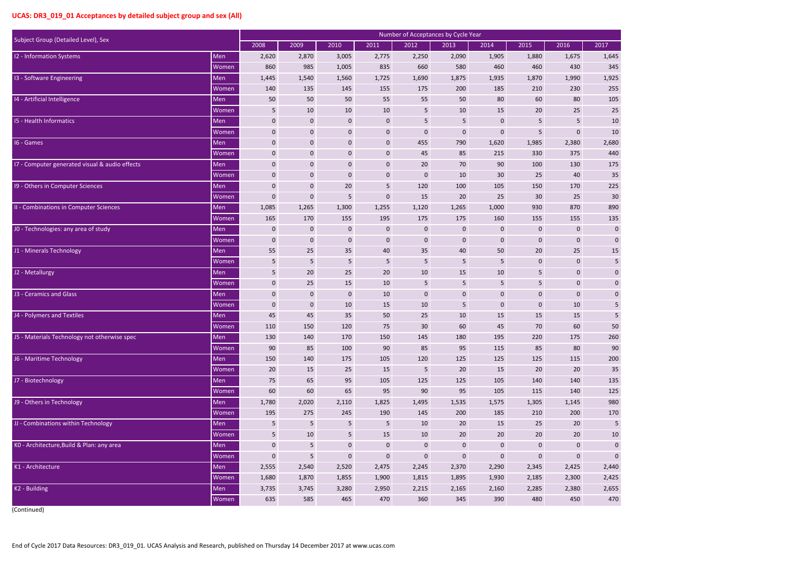| $\overline{)17}$ |
|------------------|
| 1,645            |
| 345              |
| 1,925            |
| 255              |
| 105              |
| 25               |
| 10               |
| 10               |
| 2,680            |
| 440              |
| 175              |
| 35               |
| 225              |
| 30               |
| 890              |
| 135              |
| $\overline{0}$   |
| $\overline{0}$   |
| 15               |
| 5                |
| $\overline{0}$   |
| $\overline{0}$   |
| $\overline{0}$   |
| 5                |
| 5                |
| 50               |
| 260              |
| 90               |
| 200              |
| 35               |
| 135              |
| 125              |
| 980              |
| 170              |
| 5                |
| 10               |
| 0                |
| 0                |
| 2,440            |
| 2,425            |
| 2,655            |
| 470              |

| Subject Group (Detailed Level), Sex            |              | <b>Number of Acceptances by Cycle Year</b> |                |                  |                  |             |                  |                  |                |                  |             |  |  |
|------------------------------------------------|--------------|--------------------------------------------|----------------|------------------|------------------|-------------|------------------|------------------|----------------|------------------|-------------|--|--|
|                                                |              | 2008                                       | 2009           | 2010             | 2011             | 2012        | 2013             | 2014             | 2015           | 2016             | 2017        |  |  |
| 12 - Information Systems                       | Men          | 2,620                                      | 2,870          | 3,005            | 2,775            | 2,250       | 2,090            | 1,905            | 1,880          | 1,675            | 1,645       |  |  |
|                                                | Women        | 860                                        | 985            | 1,005            | 835              | 660         | 580              | 460              | 460            | 430              | 345         |  |  |
| 13 - Software Engineering                      | Men          | 1,445                                      | 1,540          | 1,560            | 1,725            | 1,690       | 1,875            | 1,935            | 1,870          | 1,990            | 1,925       |  |  |
|                                                | Women        | 140                                        | 135            | 145              | 155              | 175         | 200              | 185              | 210            | 230              | 255         |  |  |
| 14 - Artificial Intelligence                   | Men          | 50                                         | 50             | 50               | 55               | 55          | 50               | 80               | 60             | 80               | 105         |  |  |
|                                                | Women        | 5                                          | 10             | 10               | 10               | 5           | 10               | 15               | 20             | 25               | 25          |  |  |
| <b>15 - Health Informatics</b>                 | Men          | $\mathbf 0$                                | $\mathbf 0$    | $\pmb{0}$        | $\mathbf 0$      | 5           | $\overline{5}$   | $\mathbf 0$      | $\overline{5}$ | 5                | 10          |  |  |
|                                                | Women        | $\mathbf 0$                                | $\mathbf 0$    | $\boldsymbol{0}$ | $\bf{0}$         | $\pmb{0}$   | $\mathbf 0$      | $\mathbf 0$      | $\overline{5}$ | $\bf{0}$         | 10          |  |  |
| 16 - Games                                     | Men          | $\mathbf 0$                                | 0              | $\bf{0}$         | $\mathbf 0$      | 455         | 790              | 1,620            | 1,985          | 2,380            | 2,680       |  |  |
|                                                | Women        | $\mathbf 0$                                | 0              | $\pmb{0}$        | $\pmb{0}$        | 45          | 85               | 215              | 330            | 375              | 440         |  |  |
| 17 - Computer generated visual & audio effects | Men          | $\mathbf 0$                                | 0              | $\bf{0}$         | $\boldsymbol{0}$ | 20          | 70               | 90               | 100            | 130              | 175         |  |  |
|                                                | Women        | $\mathbf 0$                                | $\mathbf 0$    | $\mathbf 0$      | $\bf{0}$         | $\mathbf 0$ | 10               | 30               | 25             | 40               | 35          |  |  |
| 19 - Others in Computer Sciences               | Men          | $\mathbf 0$                                | $\mathbf 0$    | 20               | 5                | 120         | 100              | 105              | 150            | 170              | 225         |  |  |
|                                                | Women        | $\mathbf 0$                                | $\mathbf 0$    | 5                | $\pmb{0}$        | 15          | 20               | 25               | 30             | 25               | 30          |  |  |
| II - Combinations in Computer Sciences         | Men          | 1,085                                      | 1,265          | 1,300            | 1,255            | 1,120       | 1,265            | 1,000            | 930            | 870              | 890         |  |  |
|                                                | Women        | 165                                        | 170            | 155              | 195              | 175         | 175              | 160              | 155            | 155              | 135         |  |  |
| J0 - Technologies: any area of study           | Men          | $\mathbf 0$                                | $\mathbf 0$    | $\pmb{0}$        | $\bf{0}$         | $\pmb{0}$   | $\mathbf 0$      | $\pmb{0}$        | $\pmb{0}$      | $\mathbf 0$      | $\mathbf 0$ |  |  |
|                                                | Women        | $\mathbf 0$                                | $\mathbf 0$    | $\bf{0}$         | $\bf{0}$         | $\mathbf 0$ | $\mathbf 0$      | $\mathbf{0}$     | $\mathbf 0$    | $\bf{0}$         | $\mathbf 0$ |  |  |
| J1 - Minerals Technology                       | Men          | 55                                         | 25             | 35               | 40               | 35          | 40               | 50               | 20             | 25               | 15          |  |  |
|                                                | Women        | $5\phantom{.0}$                            | 5              | 5                | 5                | 5           | 5                | 5                | $\pmb{0}$      | $\boldsymbol{0}$ | 5           |  |  |
| J2 - Metallurgy                                | Men          | 5                                          | 20             | 25               | 20               | 10          | 15               | 10               | 5              | $\mathbf 0$      | $\mathbf 0$ |  |  |
|                                                | Women        | $\mathbf 0$                                | 25             | 15               | 10               | 5           | 5                | 5                | $\overline{5}$ | $\mathbf{0}$     | 0           |  |  |
| J3 - Ceramics and Glass                        | Men          | $\mathbf 0$                                | $\mathbf 0$    | $\pmb{0}$        | 10               | $\pmb{0}$   | $\bf{0}$         | $\mathbf 0$      | $\pmb{0}$      | $\mathbf 0$      | 0           |  |  |
|                                                | Women        | $\mathbf 0$                                | $\mathbf 0$    | 10               | 15               | 10          | 5                | $\mathbf 0$      | $\mathbf 0$    | 10               | 5           |  |  |
| J4 - Polymers and Textiles                     | Men          | 45                                         | 45             | 35               | 50               | 25          | 10               | 15               | 15             | 15               | 5           |  |  |
|                                                | Women        | 110                                        | 150            | 120              | 75               | 30          | 60               | 45               | 70             | 60               | 50          |  |  |
| J5 - Materials Technology not otherwise spec   | Men          | 130                                        | 140            | 170              | 150              | 145         | 180              | 195              | 220            | 175              | 260         |  |  |
|                                                | Women        | 90                                         | 85             | 100              | 90               | 85          | 95               | 115              | 85             | 80               | 90          |  |  |
| J6 - Maritime Technology                       | Men          | 150                                        | 140            | 175              | 105              | 120         | 125              | 125              | 125            | 115              | 200         |  |  |
|                                                | <b>Women</b> | $20\,$                                     | 15             | 25               | 15               | 5           | 20               | 15               | 20             | 20               | 35          |  |  |
| J7 - Biotechnology                             | Men          | 75                                         | 65             | 95               | 105              | 125         | 125              | 105              | 140            | 140              | 135         |  |  |
|                                                | Women        | 60                                         | 60             | 65               | 95               | 90          | 95               | 105              | 115            | 140              | 125         |  |  |
| J9 - Others in Technology                      | Men          | 1,780                                      | 2,020          | 2,110            | 1,825            | 1,495       | 1,535            | 1,575            | 1,305          | 1,145            | 980         |  |  |
|                                                | Women        | 195                                        | 275            | 245              | 190              | 145         | 200              | 185              | 210            | 200              | 170         |  |  |
| JJ - Combinations within Technology            | Men          | 5                                          | 5              | 5                | 5                | 10          | 20               | 15               | 25             | 20               | 5           |  |  |
|                                                | Women        | $5\phantom{.}$                             | 10             | $\overline{5}$   | 15               | 10          | $20\,$           | 20               | 20             | 20               | 10          |  |  |
| KO - Architecture, Build & Plan: any area      | Men          | $\mathbf 0$                                | $5\phantom{.}$ | $\pmb{0}$        | $\boldsymbol{0}$ | $\pmb{0}$   | $\boldsymbol{0}$ | $\boldsymbol{0}$ | $\pmb{0}$      | $\mathbf 0$      | $\mathbf 0$ |  |  |
|                                                | Women        | $\pmb{0}$                                  | 5              | $\pmb{0}$        | $\mathbf 0$      | $\pmb{0}$   | $\pmb{0}$        | $\mathbf 0$      | $\pmb{0}$      | $\mathbf 0$      | $\mathbf 0$ |  |  |
| K1 - Architecture                              | Men          | 2,555                                      | 2,540          | 2,520            | 2,475            | 2,245       | 2,370            | 2,290            | 2,345          | 2,425            | 2,440       |  |  |
|                                                | Women        | 1,680                                      | 1,870          | 1,855            | 1,900            | 1,815       | 1,895            | 1,930            | 2,185          | 2,300            | 2,425       |  |  |
| K2 - Building                                  | Men          | 3,735                                      | 3,745          | 3,280            | 2,950            | 2,215       | 2,165            | 2,160            | 2,285          | 2,380            | 2,655       |  |  |
|                                                | Women        | 635                                        | 585            | 465              | 470              | 360         | 345              | 390              | 480            | 450              | 470         |  |  |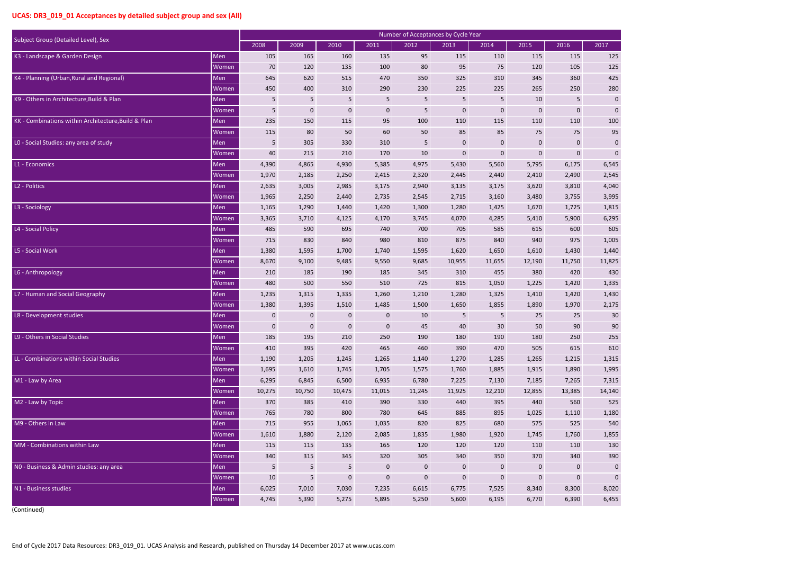|   | $\overline{517}$ |        |     |                |
|---|------------------|--------|-----|----------------|
|   |                  |        |     |                |
|   |                  |        | 125 |                |
|   |                  |        | 125 |                |
|   |                  |        | 425 |                |
|   |                  |        | 280 |                |
|   |                  |        |     | 0              |
|   |                  |        |     | 0              |
|   |                  |        | 100 |                |
|   |                  |        | 95  |                |
|   |                  |        |     | $\overline{0}$ |
|   |                  |        |     | 0              |
|   |                  | 6,545  |     |                |
|   |                  | 2,545  |     |                |
|   |                  | 4,040  |     |                |
|   |                  | 3,995  |     |                |
|   |                  | 1,815  |     |                |
|   |                  | 6,295  |     |                |
|   |                  |        | 605 |                |
|   |                  | 1,005  |     |                |
|   |                  | 1,440  |     |                |
| 1 |                  | 1,825  |     |                |
|   |                  | 430    |     |                |
|   |                  | 1,335  |     |                |
|   |                  | 1,430  |     |                |
|   |                  | 2,175  |     |                |
|   |                  |        |     | 30             |
|   |                  |        |     | 90             |
|   |                  |        | 255 |                |
|   |                  |        | 610 |                |
|   |                  | 1,315  |     |                |
|   |                  | 1,995  |     |                |
|   |                  | 7,315  |     |                |
|   |                  | 14,140 |     |                |
|   |                  |        | 525 |                |
|   |                  | 1,180  |     |                |
|   |                  |        | 540 |                |
|   |                  | 1,855  |     |                |
|   |                  |        | 130 |                |
|   |                  |        | 390 |                |
|   |                  |        |     | 0              |
|   |                  |        |     | 0              |
|   |                  | 8,020  |     |                |
|   |                  | 6,455  |     |                |

|                                                     |       |             |                |                |              |           | Number of Acceptances by Cycle Year |              |             |              |             |
|-----------------------------------------------------|-------|-------------|----------------|----------------|--------------|-----------|-------------------------------------|--------------|-------------|--------------|-------------|
| Subject Group (Detailed Level), Sex                 |       | 2008        | 2009           | 2010           | 2011         | 2012      | 2013                                | 2014         | 2015        | 2016         | 2017        |
| K3 - Landscape & Garden Design                      | Men   | 105         | 165            | 160            | 135          | 95        | 115                                 | 110          | 115         | 115          | 125         |
|                                                     | Women | 70          | 120            | 135            | 100          | 80        | 95                                  | 75           | 120         | 105          | 125         |
| K4 - Planning (Urban, Rural and Regional)           | Men   | 645         | 620            | 515            | 470          | 350       | 325                                 | 310          | 345         | 360          | 425         |
|                                                     | Women | 450         | 400            | 310            | 290          | 230       | 225                                 | 225          | 265         | 250          | 280         |
| K9 - Others in Architecture, Build & Plan           | Men   | 5           | 5              | 5              | 5            | 5         | 5                                   | 5            | 10          | 5            | $\mathbf 0$ |
|                                                     | Women | 5           | $\mathbf 0$    | $\mathbf 0$    | $\mathbf 0$  | 5         | $\mathbf 0$                         | $\mathbf 0$  | $\bf{0}$    | $\mathbf 0$  | $\mathbf 0$ |
| KK - Combinations within Architecture, Build & Plan | Men   | 235         | 150            | 115            | 95           | 100       | 110                                 | 115          | 110         | 110          | 100         |
|                                                     | Women | 115         | 80             | 50             | 60           | 50        | 85                                  | 85           | 75          | 75           | 95          |
| LO - Social Studies: any area of study              | Men   | 5           | 305            | 330            | 310          | 5         | $\mathbf{0}$                        | $\mathbf{0}$ | $\bf{0}$    | $\mathbf 0$  | $\mathbf 0$ |
|                                                     | Women | 40          | 215            | 210            | 170          | 10        | $\mathbf 0$                         | $\mathbf 0$  | $\pmb{0}$   | $\mathbf 0$  | $\mathbf 0$ |
| L1 - Economics                                      | Men   | 4,390       | 4,865          | 4,930          | 5,385        | 4,975     | 5,430                               | 5,560        | 5,795       | 6,175        | 6,545       |
|                                                     | Women | 1,970       | 2,185          | 2,250          | 2,415        | 2,320     | 2,445                               | 2,440        | 2,410       | 2,490        | 2,545       |
| L2 - Politics                                       | Men   | 2,635       | 3,005          | 2,985          | 3,175        | 2,940     | 3,135                               | 3,175        | 3,620       | 3,810        | 4,040       |
|                                                     | Women | 1,965       | 2,250          | 2,440          | 2,735        | 2,545     | 2,715                               | 3,160        | 3,480       | 3,755        | 3,995       |
| L3 - Sociology                                      | Men   | 1,165       | 1,290          | 1,440          | 1,420        | 1,300     | 1,280                               | 1,425        | 1,670       | 1,725        | 1,815       |
|                                                     | Women | 3,365       | 3,710          | 4,125          | 4,170        | 3,745     | 4,070                               | 4,285        | 5,410       | 5,900        | 6,295       |
| L4 - Social Policy                                  | Men   | 485         | 590            | 695            | 740          | 700       | 705                                 | 585          | 615         | 600          | 605         |
|                                                     | Women | 715         | 830            | 840            | 980          | 810       | 875                                 | 840          | 940         | 975          | 1,005       |
| L5 - Social Work                                    | Men   | 1,380       | 1,595          | 1,700          | 1,740        | 1,595     | 1,620                               | 1,650        | 1,610       | 1,430        | 1,440       |
|                                                     | Women | 8,670       | 9,100          | 9,485          | 9,550        | 9,685     | 10,955                              | 11,655       | 12,190      | 11,750       | 11,825      |
| L6 - Anthropology                                   | Men   | 210         | 185            | 190            | 185          | 345       | 310                                 | 455          | 380         | 420          | 430         |
|                                                     | Women | 480         | 500            | 550            | 510          | 725       | 815                                 | 1,050        | 1,225       | 1,420        | 1,335       |
| L7 - Human and Social Geography                     | Men   | 1,235       | 1,315          | 1,335          | 1,260        | 1,210     | 1,280                               | 1,325        | 1,410       | 1,420        | 1,430       |
|                                                     | Women | 1,380       | 1,395          | 1,510          | 1,485        | 1,500     | 1,650                               | 1,855        | 1,890       | 1,970        | 2,175       |
| L8 - Development studies                            | Men   | $\pmb{0}$   | 0              | $\mathbf 0$    | $\mathbf 0$  | 10        | 5                                   | 5            | 25          | 25           | 30          |
|                                                     | Women | $\mathbf 0$ | $\mathbf{0}$   | $\mathbf{0}$   | $\mathbf 0$  | 45        | 40                                  | 30           | 50          | 90           | 90          |
| L9 - Others in Social Studies                       | Men   | 185         | 195            | 210            | 250          | 190       | 180                                 | 190          | 180         | 250          | 255         |
|                                                     | Women | 410         | 395            | 420            | 465          | 460       | 390                                 | 470          | 505         | 615          | 610         |
| LL - Combinations within Social Studies             | Men   | 1,190       | 1,205          | 1,245          | 1,265        | 1,140     | 1,270                               | 1,285        | 1,265       | 1,215        | 1,315       |
|                                                     | Women | 1,695       | 1,610          | 1,745          | 1,705        | 1,575     | 1,760                               | 1,885        | 1,915       | 1,890        | 1,995       |
| M1 - Law by Area                                    | Men   | 6,295       | 6,845          | 6,500          | 6,935        | 6,780     | 7,225                               | 7,130        | 7,185       | 7,265        | 7,315       |
|                                                     | Women | 10,275      | 10,750         | 10,475         | 11,015       | 11,245    | 11,925                              | 12,210       | 12,855      | 13,385       | 14,140      |
| M2 - Law by Topic                                   | Men   | 370         | 385            | 410            | 390          | 330       | 440                                 | 395          | 440         | 560          | 525         |
|                                                     | Women | 765         | 780            | 800            | 780          | 645       | 885                                 | 895          | 1,025       | 1,110        | 1,180       |
| M9 - Others in Law                                  | Men   | 715         | 955            | 1,065          | 1,035        | 820       | 825                                 | 680          | 575         | 525          | 540         |
|                                                     | Women | 1,610       | 1,880          | 2,120          | 2,085        | 1,835     | 1,980                               | 1,920        | 1,745       | 1,760        | 1,855       |
| MM - Combinations within Law                        | Men   | 115         | 115            | 135            | 165          | 120       | 120                                 | 120          | 110         | 110          | 130         |
|                                                     | Women | 340         | 315            | 345            | 320          | 305       | 340                                 | 350          | 370         | 340          | 390         |
| NO - Business & Admin studies: any area             | Men   | 5           | $5\phantom{.}$ | $5\phantom{.}$ | $\mathbf{0}$ | $\pmb{0}$ | $\overline{0}$                      | $\mathbf{0}$ | $\mathbf 0$ | $\mathbf{0}$ | $\mathbf 0$ |
|                                                     | Women | 10          | 5              | $\pmb{0}$      | $\mathbf 0$  | $\pmb{0}$ | $\mathbf 0$                         | $\mathbf 0$  | $\pmb{0}$   | $\mathbf 0$  | $\mathbf 0$ |
| N1 - Business studies                               | Men   | 6,025       | 7,010          | 7,030          | 7,235        | 6,615     | 6,775                               | 7,525        | 8,340       | 8,300        | 8,020       |
|                                                     | Women | 4,745       | 5,390          | 5,275          | 5,895        | 5,250     | 5,600                               | 6,195        | 6,770       | 6,390        | 6,455       |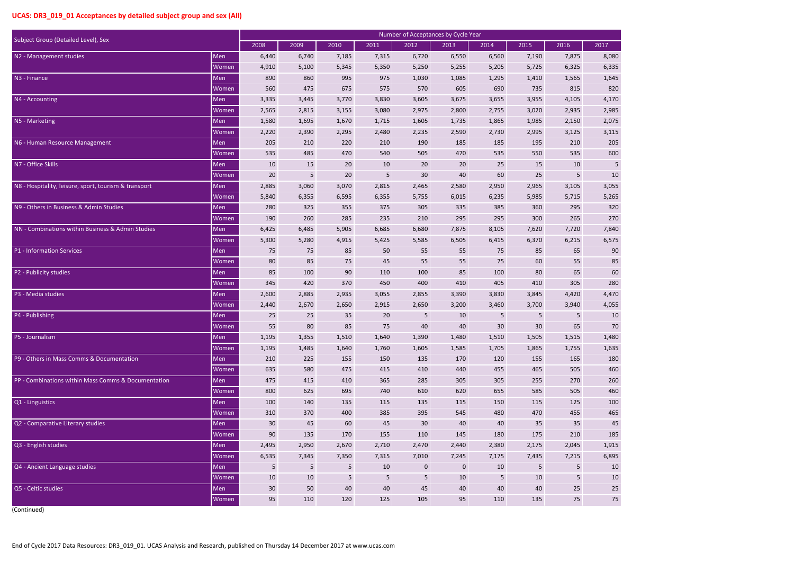| $\overline{)17}$ |
|------------------|
|                  |
| 8,080            |
| 6,335            |
| 1,645            |
| 820              |
| 4,170            |
| 2,985            |
| 2,075            |
| 3,115            |
| 205              |
| 600              |
| 5                |
| 10               |
| 3,055            |
| 5,265            |
| 320              |
| 270              |
| 7,840            |
| 6,575            |
| 90               |
| 85               |
| 60               |
| 280              |
| 4,470            |
| 4,055            |
| 10               |
| 70               |
| 1,480            |
| 1,635            |
| 180              |
| 460              |
| 260              |
| 460              |
| 100              |
| 465              |
| 45               |
| 185              |
| 1,915            |
| 6,895            |
| 10               |
| 10               |
| 25               |
| 75               |

|                                                       |              | Number of Acceptances by Cycle Year |       |                |       |       |                |                |       |       |       |  |  |
|-------------------------------------------------------|--------------|-------------------------------------|-------|----------------|-------|-------|----------------|----------------|-------|-------|-------|--|--|
| Subject Group (Detailed Level), Sex                   |              | 2008                                | 2009  | 2010           | 2011  | 2012  | 2013           | 2014           | 2015  | 2016  | 2017  |  |  |
| N2 - Management studies                               | Men          | 6,440                               | 6,740 | 7,185          | 7,315 | 6,720 | 6,550          | 6,560          | 7,190 | 7,875 | 8,080 |  |  |
|                                                       | Women        | 4,910                               | 5,100 | 5,345          | 5,350 | 5,250 | 5,255          | 5,205          | 5,725 | 6,325 | 6,335 |  |  |
| N3 - Finance                                          | Men          | 890                                 | 860   | 995            | 975   | 1,030 | 1,085          | 1,295          | 1,410 | 1,565 | 1,645 |  |  |
|                                                       | Women        | 560                                 | 475   | 675            | 575   | 570   | 605            | 690            | 735   | 815   | 820   |  |  |
| N4 - Accounting                                       | Men          | 3,335                               | 3,445 | 3,770          | 3,830 | 3,605 | 3,675          | 3,655          | 3,955 | 4,105 | 4,170 |  |  |
|                                                       | Women        | 2,565                               | 2,815 | 3,155          | 3,080 | 2,975 | 2,800          | 2,755          | 3,020 | 2,935 | 2,985 |  |  |
| N5 - Marketing                                        | Men          | 1,580                               | 1,695 | 1,670          | 1,715 | 1,605 | 1,735          | 1,865          | 1,985 | 2,150 | 2,075 |  |  |
|                                                       | Women        | 2,220                               | 2,390 | 2,295          | 2,480 | 2,235 | 2,590          | 2,730          | 2,995 | 3,125 | 3,115 |  |  |
| N6 - Human Resource Management                        | Men          | 205                                 | 210   | 220            | 210   | 190   | 185            | 185            | 195   | 210   | 205   |  |  |
|                                                       | Women        | 535                                 | 485   | 470            | 540   | 505   | 470            | 535            | 550   | 535   | 600   |  |  |
| N7 - Office Skills                                    | Men          | 10                                  | 15    | 20             | 10    | 20    | 20             | 25             | 15    | 10    | 5     |  |  |
|                                                       | Women        | 20                                  | 5     | 20             | 5     | 30    | 40             | 60             | 25    | 5     | 10    |  |  |
| N8 - Hospitality, leisure, sport, tourism & transport | Men          | 2,885                               | 3,060 | 3,070          | 2,815 | 2,465 | 2,580          | 2,950          | 2,965 | 3,105 | 3,055 |  |  |
|                                                       | Women        | 5,840                               | 6,355 | 6,595          | 6,355 | 5,755 | 6,015          | 6,235          | 5,985 | 5,715 | 5,265 |  |  |
| N9 - Others in Business & Admin Studies               | Men          | 280                                 | 325   | 355            | 375   | 305   | 335            | 385            | 360   | 295   | 320   |  |  |
|                                                       | <b>Women</b> | 190                                 | 260   | 285            | 235   | 210   | 295            | 295            | 300   | 265   | 270   |  |  |
| NN - Combinations within Business & Admin Studies     | Men          | 6,425                               | 6,485 | 5,905          | 6,685 | 6,680 | 7,875          | 8,105          | 7,620 | 7,720 | 7,840 |  |  |
|                                                       | Women        | 5,300                               | 5,280 | 4,915          | 5,425 | 5,585 | 6,505          | 6,415          | 6,370 | 6,215 | 6,575 |  |  |
| P1 - Information Services                             | Men          | 75                                  | 75    | 85             | 50    | 55    | 55             | 75             | 85    | 65    | 90    |  |  |
|                                                       | <b>Women</b> | 80                                  | 85    | 75             | 45    | 55    | 55             | 75             | 60    | 55    | 85    |  |  |
| P2 - Publicity studies                                | Men          | 85                                  | 100   | 90             | 110   | 100   | 85             | 100            | 80    | 65    | 60    |  |  |
|                                                       | Women        | 345                                 | 420   | 370            | 450   | 400   | 410            | 405            | 410   | 305   | 280   |  |  |
| P3 - Media studies                                    | Men          | 2,600                               | 2,885 | 2,935          | 3,055 | 2,855 | 3,390          | 3,830          | 3,845 | 4,420 | 4,470 |  |  |
|                                                       | Women        | 2,440                               | 2,670 | 2,650          | 2,915 | 2,650 | 3,200          | 3,460          | 3,700 | 3,940 | 4,055 |  |  |
| P4 - Publishing                                       | Men          | 25                                  | 25    | 35             | 20    | 5     | 10             | 5              | 5     | 5     | 10    |  |  |
|                                                       | Women        | 55                                  | 80    | 85             | 75    | 40    | 40             | 30             | 30    | 65    | 70    |  |  |
| P5 - Journalism                                       | Men          | 1,195                               | 1,355 | 1,510          | 1,640 | 1,390 | 1,480          | 1,510          | 1,505 | 1,515 | 1,480 |  |  |
|                                                       | Women        | 1,195                               | 1,485 | 1,640          | 1,760 | 1,605 | 1,585          | 1,705          | 1,865 | 1,755 | 1,635 |  |  |
| P9 - Others in Mass Comms & Documentation             | Men          | 210                                 | 225   | 155            | 150   | 135   | 170            | 120            | 155   | 165   | 180   |  |  |
|                                                       | Women        | 635                                 | 580   | 475            | 415   | 410   | 440            | 455            | 465   | 505   | 460   |  |  |
| PP - Combinations within Mass Comms & Documentation   | Men          | 475                                 | 415   | 410            | 365   | 285   | 305            | 305            | 255   | 270   | 260   |  |  |
|                                                       | Women        | 800                                 | 625   | 695            | 740   | 610   | 620            | 655            | 585   | 505   | 460   |  |  |
| Q1 - Linguistics                                      | Men          | 100                                 | 140   | 135            | 115   | 135   | 115            | 150            | 115   | 125   | 100   |  |  |
|                                                       | Women        | 310                                 | 370   | 400            | 385   | 395   | 545            | 480            | 470   | 455   | 465   |  |  |
| Q2 - Comparative Literary studies                     | Men          | 30                                  | 45    | 60             | 45    | 30    | 40             | 40             | 35    | 35    | 45    |  |  |
|                                                       | Women        | 90                                  | 135   | 170            | 155   | 110   | 145            | 180            | 175   | 210   | 185   |  |  |
| Q3 - English studies                                  | Men          | 2,495                               | 2,950 | 2,670          | 2,710 | 2,470 | 2,440          | 2,380          | 2,175 | 2,045 | 1,915 |  |  |
|                                                       | Women        | 6,535                               | 7,345 | 7,350          | 7,315 | 7,010 | 7,245          | 7,175          | 7,435 | 7,215 | 6,895 |  |  |
| Q4 - Ancient Language studies                         | Men          | 5                                   | 5     | 5              | 10    | 0     | $\overline{0}$ | 10             | 5     | 5     | 10    |  |  |
|                                                       | Women        | 10                                  | 10    | $\overline{5}$ | 5     | 5     | 10             | $5\phantom{.}$ | 10    | 5     | 10    |  |  |
| Q5 - Celtic studies                                   | Men          | 30                                  | 50    | 40             | 40    | 45    | 40             | 40             | 40    | 25    | 25    |  |  |
|                                                       | Women        | 95                                  | 110   | 120            | 125   | 105   | 95             | 110            | 135   | 75    | 75    |  |  |
|                                                       |              |                                     |       |                |       |       |                |                |       |       |       |  |  |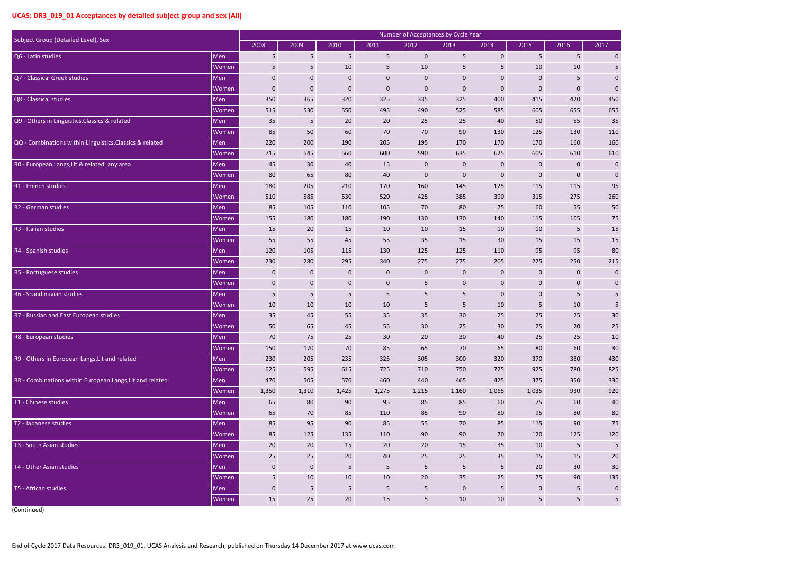| $\overline{17}$ |                |                 |                 |
|-----------------|----------------|-----------------|-----------------|
|                 |                |                 | $\overline{0}$  |
|                 |                |                 | 5               |
|                 |                |                 |                 |
|                 |                |                 | $\overline{0}$  |
|                 |                |                 | 0               |
|                 |                | 450             |                 |
|                 |                | 655             |                 |
|                 |                | 35              |                 |
|                 |                | 110             |                 |
|                 |                | 160             |                 |
|                 |                | 610             |                 |
|                 |                |                 | $\overline{0}$  |
|                 |                |                 | $\overline{0}$  |
|                 |                | 95              |                 |
|                 |                | 60              |                 |
|                 |                | 50              |                 |
|                 |                | 75              |                 |
|                 |                | 15              |                 |
|                 |                | 15              |                 |
|                 |                | 80              |                 |
|                 |                | 15              |                 |
|                 |                |                 | 0               |
|                 |                |                 | 0               |
|                 |                |                 | 5               |
|                 |                |                 | 5               |
|                 |                | 30              |                 |
|                 |                | $\overline{25}$ |                 |
|                 |                |                 | $\overline{10}$ |
|                 |                | 30              |                 |
|                 |                | 430             |                 |
|                 |                | 825             |                 |
|                 |                | 330             |                 |
|                 |                | 920             |                 |
|                 |                | 40              |                 |
|                 |                | 80              |                 |
|                 |                | 75              |                 |
|                 |                | 120             |                 |
|                 |                |                 | 5               |
|                 |                | 20              |                 |
|                 |                | 30              |                 |
|                 | $\overline{1}$ | 35              |                 |
|                 |                |                 | 0               |
|                 |                |                 | 5               |

| Subject Group (Detailed Level), Sex                      |              | Number of Acceptances by Cycle Year |             |                 |                 |             |                 |                 |                  |                 |             |
|----------------------------------------------------------|--------------|-------------------------------------|-------------|-----------------|-----------------|-------------|-----------------|-----------------|------------------|-----------------|-------------|
|                                                          |              | 2008                                | 2009        | 2010            | 2011            | 2012        | 2013            | 2014            | 2015             | 2016            | 2017        |
| Q6 - Latin studies                                       | Men          | 5                                   | 5           | 5               | 5 <sub>5</sub>  | $\pmb{0}$   | 5               | $\pmb{0}$       | $5\phantom{.}$   | $5\phantom{.}$  | $\mathbf 0$ |
|                                                          | <b>Women</b> | 5                                   | 5           | 10              | $5\phantom{.}$  | 10          | 5               | 5               | 10               | 10              | 5           |
| Q7 - Classical Greek studies                             | Men          | $\mathbf 0$                         | $\mathbf 0$ | $\mathbf 0$     | $\mathbf 0$     | $\pmb{0}$   | $\mathbf 0$     | $\mathbf 0$     | $\pmb{0}$        | 5               | $\mathbf 0$ |
|                                                          | Women        | $\pmb{0}$                           | 0           | $\mathbf 0$     | $\mathbf{0}$    | $\pmb{0}$   | $\mathbf 0$     | 0               | $\mathbf 0$      | $\mathbf{0}$    | $\mathbf 0$ |
| Q8 - Classical studies                                   | Men          | 350                                 | 365         | 320             | 325             | 335         | 325             | 400             | 415              | 420             | 450         |
|                                                          | <b>Women</b> | 515                                 | 530         | 550             | 495             | 490         | 525             | 585             | 605              | 655             | 655         |
| Q9 - Others in Linguistics, Classics & related           | Men          | 35                                  | 5           | 20              | 20              | 25          | 25              | 40              | 50               | 55              | 35          |
|                                                          | Women        | 85                                  | 50          | 60              | 70              | 70          | 90              | 130             | 125              | 130             | 110         |
| QQ - Combinations within Linguistics, Classics & related | Men          | 220                                 | 200         | 190             | 205             | 195         | 170             | 170             | 170              | 160             | 160         |
|                                                          | Women        | 715                                 | 545         | 560             | 600             | 590         | 635             | 625             | 605              | 610             | 610         |
| RO - European Langs, Lit & related: any area             | Men          | 45                                  | 30          | 40              | 15              | $\mathbf 0$ | $\bf{0}$        | $\mathbf{0}$    | $\mathbf 0$      | $\mathbf{0}$    | $\mathbf 0$ |
|                                                          | Women        | 80                                  | 65          | 80              | 40              | $\pmb{0}$   | $\mathbf 0$     | $\mathbf 0$     | $\boldsymbol{0}$ | $\mathbf{0}$    | $\mathbf 0$ |
| R1 - French studies                                      | Men          | 180                                 | 205         | 210             | 170             | 160         | 145             | 125             | 115              | 115             | 95          |
|                                                          | Women        | 510                                 | 585         | 530             | 520             | 425         | 385             | 390             | 315              | 275             | 260         |
| R2 - German studies                                      | Men          | 85                                  | 105         | 110             | 105             | 70          | 80              | 75              | 60               | 55              | 50          |
|                                                          | Women        | 155                                 | 180         | 180             | 190             | 130         | 130             | 140             | 115              | 105             | 75          |
| R3 - Italian studies                                     | Men          | 15                                  | 20          | 15              | 10              | 10          | 15              | 10              | 10               | 5               | 15          |
|                                                          | Women        | 55                                  | 55          | 45              | 55              | 35          | 15              | 30 <sup>°</sup> | 15               | 15              | 15          |
| R4 - Spanish studies                                     | Men          | 120                                 | 105         | 115             | 130             | 125         | 125             | 110             | 95               | 95              | 80          |
|                                                          | Women        | 230                                 | 280         | 295             | 340             | 275         | 275             | 205             | 225              | 250             | 215         |
| R5 - Portuguese studies                                  | Men          | $\mathbf 0$                         | $\mathbf 0$ | $\mathbf 0$     | $\mathbf{0}$    | $\pmb{0}$   | $\bf{0}$        | $\mathbf{0}$    | $\mathbf 0$      | $\mathbf{0}$    | $\mathbf 0$ |
|                                                          | Women        | $\mathbf 0$                         | $\mathbf 0$ | $\mathbf 0$     | $\mathbf 0$     | 5           | $\bf{0}$        | $\mathbf 0$     | $\mathbf 0$      | $\mathbf{0}$    | $\mathbf 0$ |
| R6 - Scandinavian studies                                | Men          | 5                                   | 5           | 5               | $5\phantom{.}$  | 5           | 5               | $\mathbf 0$     | $\pmb{0}$        | 5               | 5           |
|                                                          | Women        | 10                                  | 10          | 10              | 10              | 5           | 5               | 10              | $5\phantom{.}$   | 10              | 5           |
| R7 - Russian and East European studies                   | Men          | 35                                  | 45          | 55              | 35              | 35          | 30              | 25              | 25               | 25              | 30          |
|                                                          | Women        | 50                                  | 65          | 45              | 55              | 30          | 25              | 30              | 25               | 20              | 25          |
| R8 - European studies                                    | Men          | 70                                  | 75          | 25              | 30              | 20          | 30 <sup>°</sup> | 40              | 25               | 25              | 10          |
|                                                          | Women        | 150                                 | 170         | 70              | 85              | 65          | 70              | 65              | 80               | 60              | 30          |
| R9 - Others in European Langs, Lit and related           | Men          | 230                                 | 205         | 235             | 325             | 305         | 300             | 320             | 370              | 380             | 430         |
|                                                          | Women        | 625                                 | 595         | 615             | 725             | 710         | 750             | 725             | 925              | 780             | 825         |
| RR - Combinations within European Langs, Lit and related | Men          | 470                                 | 505         | 570             | 460             | 440         | 465             | 425             | 375              | 350             | 330         |
|                                                          | Women        | 1,350                               | 1,310       | 1,425           | 1,275           | 1,215       | 1,160           | 1,065           | 1,035            | 930             | 920         |
| T1 - Chinese studies                                     | Men          | 65                                  | 80          | 90              | 95              | 85          | 85              | 60              | 75               | 60              | 40          |
|                                                          | Women        | 65                                  | 70          | 85              | 110             | 85          | 90              | 80              | 95               | 80              | 80          |
| T2 - Japanese studies                                    | Men          | 85                                  | 95          | 90              | 85              | 55          | 70              | 85              | 115              | 90              | 75          |
|                                                          | Women        | 85                                  | 125         | 135             | 110             | 90          | $90\,$          | 70              | 120              | 125             | 120         |
| T3 - South Asian studies                                 | Men          | 20                                  | 20          | 15              | 20              | 20          | 15              | 35              | 10               | 5               | 5           |
|                                                          | Women        | 25                                  | 25          | $20\,$          | 40              | 25          | 25              | 35              | 15               | 15              | 20          |
| T4 - Other Asian studies                                 | Men          | $\pmb{0}$                           | $\mathbf 0$ | $5\phantom{.0}$ | $5\phantom{.0}$ | $\sqrt{5}$  | 5               | $5\phantom{.0}$ | $20\,$           | 30 <sup>°</sup> | 30          |
|                                                          | Women        | 5                                   | 10          | $10\,$          | 10              | 20          | 35              | 25              | 75               | 90              | 135         |
| T5 - African studies                                     | Men          | $\pmb{0}$                           | 5           | 5               | $5\phantom{.}$  | 5           | $\mathbf{0}$    | 5               | $\mathbf 0$      | $5\phantom{.}$  | $\mathbf 0$ |
|                                                          | Women        | 15                                  | 25          | $20\,$          | 15              | 5           | 10              | 10              | $5\phantom{.0}$  | 5 <sub>5</sub>  | 5           |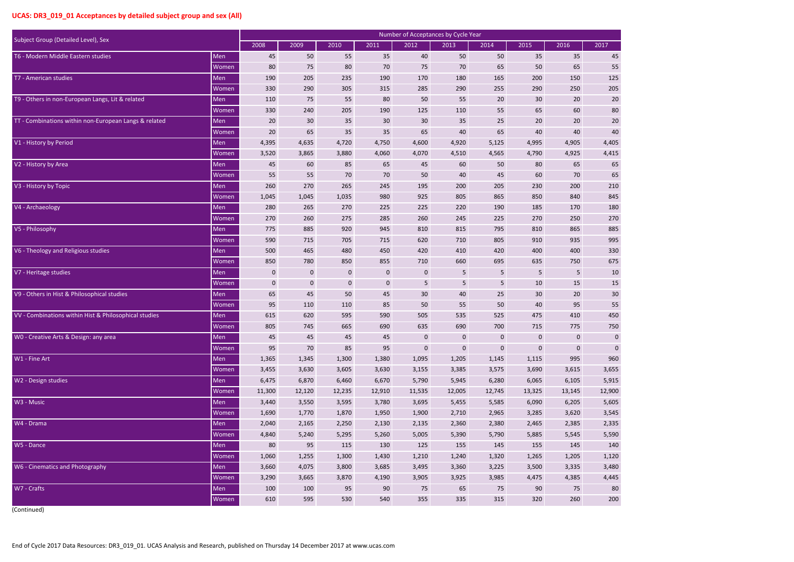| $\overline{1}$ |                |
|----------------|----------------|
|                | 45             |
|                |                |
|                | 55<br>125      |
|                |                |
|                | 205            |
|                | 20             |
|                | 80             |
|                | 20             |
|                | 40             |
| 4,405          |                |
| 4,415          |                |
|                | 65             |
|                | 65             |
|                | 210            |
|                | 845            |
|                | 180            |
|                | 270            |
|                | 885            |
|                | 995            |
|                | 330            |
|                | 675            |
|                | 10             |
|                | 15             |
|                | 30             |
|                | 55             |
|                | 50             |
|                | 750            |
|                | $\overline{0}$ |
|                | 0              |
|                | 960            |
| 3,655          |                |
| 5,915          |                |
| 12,900         |                |
| 5,605          |                |
| 3,545          |                |
| 2,335          |                |
| 5,590          |                |
|                | 140            |
| 1,120          |                |
| 3,480          |                |
| 4,445          |                |
|                | 80             |
|                |                |
|                | 200            |

| Subject Group (Detailed Level), Sex<br>2008<br>2009<br>2010<br>2011<br>2012<br>2013<br>2014<br>2015<br>2016<br>2017<br>T6 - Modern Middle Eastern studies<br>35<br>Men<br>45<br>50<br>55<br>35<br>40<br>50<br>50<br>35<br>45<br>55<br>Women<br>80<br>75<br>80<br>70<br>75<br>70<br>65<br>50<br>65<br>T7 - American studies<br>125<br>Men<br>190<br>205<br>235<br>190<br>170<br>180<br>165<br>200<br>150<br>330<br>290<br>315<br>290<br>290<br>250<br>205<br>Women<br>305<br>285<br>255<br>T9 - Others in non-European Langs, Lit & related<br>Men<br>110<br>75<br>55<br>80<br>50<br>55<br>20<br>30<br>20<br>20<br>80<br>Women<br>330<br>240<br>205<br>190<br>125<br>110<br>55<br>65<br>60<br>TT - Combinations within non-European Langs & related<br>35<br>30<br>20<br>20<br>20<br>30<br>30<br>35<br>25<br>20<br>Men<br>40<br>35<br>20<br>35<br>65<br>40<br>65<br>40<br>40<br>Women<br>65<br>V1 - History by Period<br>4,395<br>4,405<br>Men<br>4,635<br>4,720<br>4,750<br>4,600<br>4,920<br>5,125<br>4,995<br>4,905<br>4,415<br>3,520<br>3,865<br>3,880<br>4,060<br>4,070<br>4,565<br>4,790<br>4,925<br>4,510<br>Women<br>V2 - History by Area<br>Men<br>45<br>60<br>85<br>65<br>45<br>60<br>50<br>80<br>65<br>65<br>Women<br>55<br>55<br>70<br>70<br>50<br>40<br>45<br>60<br>70<br>65<br>265<br>200<br>V3 - History by Topic<br>Men<br>260<br>270<br>245<br>195<br>205<br>230<br>200<br>210<br>1,035<br>980<br>925<br>805<br>865<br>850<br>840<br>845<br>Women<br>1,045<br>1,045<br>Men<br>280<br>270<br>225<br>220<br>170<br>180<br>V4 - Archaeology<br>265<br>225<br>190<br>185<br>245<br>Women<br>270<br>260<br>275<br>285<br>260<br>225<br>270<br>250<br>270<br>V5 - Philosophy<br>920<br>815<br>865<br>885<br>Men<br>775<br>885<br>945<br>810<br>795<br>810<br>590<br>910<br>935<br>995<br>Women<br>715<br>705<br>715<br>620<br>710<br>805<br>V6 - Theology and Religious studies<br>420<br>410<br>400<br>400<br>Men<br>500<br>465<br>480<br>450<br>420<br>330<br>780<br>850<br>660<br>750<br>675<br>850<br>855<br>710<br>695<br>635<br>Women |
|-------------------------------------------------------------------------------------------------------------------------------------------------------------------------------------------------------------------------------------------------------------------------------------------------------------------------------------------------------------------------------------------------------------------------------------------------------------------------------------------------------------------------------------------------------------------------------------------------------------------------------------------------------------------------------------------------------------------------------------------------------------------------------------------------------------------------------------------------------------------------------------------------------------------------------------------------------------------------------------------------------------------------------------------------------------------------------------------------------------------------------------------------------------------------------------------------------------------------------------------------------------------------------------------------------------------------------------------------------------------------------------------------------------------------------------------------------------------------------------------------------------------------------------------------------------------------------------------------------------------------------------------------------------------------------------------------------------------------------------------------------------------------------------------------------------------------------------------------------------------------------------------------------------------------------------------------------------------------------------------------------------------------------------------------------|
|                                                                                                                                                                                                                                                                                                                                                                                                                                                                                                                                                                                                                                                                                                                                                                                                                                                                                                                                                                                                                                                                                                                                                                                                                                                                                                                                                                                                                                                                                                                                                                                                                                                                                                                                                                                                                                                                                                                                                                                                                                                       |
|                                                                                                                                                                                                                                                                                                                                                                                                                                                                                                                                                                                                                                                                                                                                                                                                                                                                                                                                                                                                                                                                                                                                                                                                                                                                                                                                                                                                                                                                                                                                                                                                                                                                                                                                                                                                                                                                                                                                                                                                                                                       |
|                                                                                                                                                                                                                                                                                                                                                                                                                                                                                                                                                                                                                                                                                                                                                                                                                                                                                                                                                                                                                                                                                                                                                                                                                                                                                                                                                                                                                                                                                                                                                                                                                                                                                                                                                                                                                                                                                                                                                                                                                                                       |
|                                                                                                                                                                                                                                                                                                                                                                                                                                                                                                                                                                                                                                                                                                                                                                                                                                                                                                                                                                                                                                                                                                                                                                                                                                                                                                                                                                                                                                                                                                                                                                                                                                                                                                                                                                                                                                                                                                                                                                                                                                                       |
|                                                                                                                                                                                                                                                                                                                                                                                                                                                                                                                                                                                                                                                                                                                                                                                                                                                                                                                                                                                                                                                                                                                                                                                                                                                                                                                                                                                                                                                                                                                                                                                                                                                                                                                                                                                                                                                                                                                                                                                                                                                       |
|                                                                                                                                                                                                                                                                                                                                                                                                                                                                                                                                                                                                                                                                                                                                                                                                                                                                                                                                                                                                                                                                                                                                                                                                                                                                                                                                                                                                                                                                                                                                                                                                                                                                                                                                                                                                                                                                                                                                                                                                                                                       |
|                                                                                                                                                                                                                                                                                                                                                                                                                                                                                                                                                                                                                                                                                                                                                                                                                                                                                                                                                                                                                                                                                                                                                                                                                                                                                                                                                                                                                                                                                                                                                                                                                                                                                                                                                                                                                                                                                                                                                                                                                                                       |
|                                                                                                                                                                                                                                                                                                                                                                                                                                                                                                                                                                                                                                                                                                                                                                                                                                                                                                                                                                                                                                                                                                                                                                                                                                                                                                                                                                                                                                                                                                                                                                                                                                                                                                                                                                                                                                                                                                                                                                                                                                                       |
|                                                                                                                                                                                                                                                                                                                                                                                                                                                                                                                                                                                                                                                                                                                                                                                                                                                                                                                                                                                                                                                                                                                                                                                                                                                                                                                                                                                                                                                                                                                                                                                                                                                                                                                                                                                                                                                                                                                                                                                                                                                       |
|                                                                                                                                                                                                                                                                                                                                                                                                                                                                                                                                                                                                                                                                                                                                                                                                                                                                                                                                                                                                                                                                                                                                                                                                                                                                                                                                                                                                                                                                                                                                                                                                                                                                                                                                                                                                                                                                                                                                                                                                                                                       |
|                                                                                                                                                                                                                                                                                                                                                                                                                                                                                                                                                                                                                                                                                                                                                                                                                                                                                                                                                                                                                                                                                                                                                                                                                                                                                                                                                                                                                                                                                                                                                                                                                                                                                                                                                                                                                                                                                                                                                                                                                                                       |
|                                                                                                                                                                                                                                                                                                                                                                                                                                                                                                                                                                                                                                                                                                                                                                                                                                                                                                                                                                                                                                                                                                                                                                                                                                                                                                                                                                                                                                                                                                                                                                                                                                                                                                                                                                                                                                                                                                                                                                                                                                                       |
|                                                                                                                                                                                                                                                                                                                                                                                                                                                                                                                                                                                                                                                                                                                                                                                                                                                                                                                                                                                                                                                                                                                                                                                                                                                                                                                                                                                                                                                                                                                                                                                                                                                                                                                                                                                                                                                                                                                                                                                                                                                       |
|                                                                                                                                                                                                                                                                                                                                                                                                                                                                                                                                                                                                                                                                                                                                                                                                                                                                                                                                                                                                                                                                                                                                                                                                                                                                                                                                                                                                                                                                                                                                                                                                                                                                                                                                                                                                                                                                                                                                                                                                                                                       |
|                                                                                                                                                                                                                                                                                                                                                                                                                                                                                                                                                                                                                                                                                                                                                                                                                                                                                                                                                                                                                                                                                                                                                                                                                                                                                                                                                                                                                                                                                                                                                                                                                                                                                                                                                                                                                                                                                                                                                                                                                                                       |
|                                                                                                                                                                                                                                                                                                                                                                                                                                                                                                                                                                                                                                                                                                                                                                                                                                                                                                                                                                                                                                                                                                                                                                                                                                                                                                                                                                                                                                                                                                                                                                                                                                                                                                                                                                                                                                                                                                                                                                                                                                                       |
|                                                                                                                                                                                                                                                                                                                                                                                                                                                                                                                                                                                                                                                                                                                                                                                                                                                                                                                                                                                                                                                                                                                                                                                                                                                                                                                                                                                                                                                                                                                                                                                                                                                                                                                                                                                                                                                                                                                                                                                                                                                       |
|                                                                                                                                                                                                                                                                                                                                                                                                                                                                                                                                                                                                                                                                                                                                                                                                                                                                                                                                                                                                                                                                                                                                                                                                                                                                                                                                                                                                                                                                                                                                                                                                                                                                                                                                                                                                                                                                                                                                                                                                                                                       |
|                                                                                                                                                                                                                                                                                                                                                                                                                                                                                                                                                                                                                                                                                                                                                                                                                                                                                                                                                                                                                                                                                                                                                                                                                                                                                                                                                                                                                                                                                                                                                                                                                                                                                                                                                                                                                                                                                                                                                                                                                                                       |
|                                                                                                                                                                                                                                                                                                                                                                                                                                                                                                                                                                                                                                                                                                                                                                                                                                                                                                                                                                                                                                                                                                                                                                                                                                                                                                                                                                                                                                                                                                                                                                                                                                                                                                                                                                                                                                                                                                                                                                                                                                                       |
|                                                                                                                                                                                                                                                                                                                                                                                                                                                                                                                                                                                                                                                                                                                                                                                                                                                                                                                                                                                                                                                                                                                                                                                                                                                                                                                                                                                                                                                                                                                                                                                                                                                                                                                                                                                                                                                                                                                                                                                                                                                       |
| V7 - Heritage studies<br>Men<br>5<br>5<br>$\mathbf 0$<br>$\mathbf{0}$<br>$\bf{0}$<br>$\mathbf 0$<br>$\mathbf 0$<br>5<br>5<br>10                                                                                                                                                                                                                                                                                                                                                                                                                                                                                                                                                                                                                                                                                                                                                                                                                                                                                                                                                                                                                                                                                                                                                                                                                                                                                                                                                                                                                                                                                                                                                                                                                                                                                                                                                                                                                                                                                                                       |
| Women<br>$\pmb{0}$<br>$\mathbf 0$<br>5<br>5<br>10<br>15<br>15<br>$\mathbf{0}$<br>$\mathbf 0$<br>5                                                                                                                                                                                                                                                                                                                                                                                                                                                                                                                                                                                                                                                                                                                                                                                                                                                                                                                                                                                                                                                                                                                                                                                                                                                                                                                                                                                                                                                                                                                                                                                                                                                                                                                                                                                                                                                                                                                                                     |
| V9 - Others in Hist & Philosophical studies<br>65<br>50<br>30<br>45<br>45<br>30<br>40<br>25<br>30<br>20<br>Men                                                                                                                                                                                                                                                                                                                                                                                                                                                                                                                                                                                                                                                                                                                                                                                                                                                                                                                                                                                                                                                                                                                                                                                                                                                                                                                                                                                                                                                                                                                                                                                                                                                                                                                                                                                                                                                                                                                                        |
| 50<br>50<br>40<br>95<br>55<br>95<br>110<br>110<br>85<br>55<br>Women                                                                                                                                                                                                                                                                                                                                                                                                                                                                                                                                                                                                                                                                                                                                                                                                                                                                                                                                                                                                                                                                                                                                                                                                                                                                                                                                                                                                                                                                                                                                                                                                                                                                                                                                                                                                                                                                                                                                                                                   |
| VV - Combinations within Hist & Philosophical studies<br>450<br>Men<br>615<br>620<br>595<br>590<br>505<br>535<br>475<br>410<br>525                                                                                                                                                                                                                                                                                                                                                                                                                                                                                                                                                                                                                                                                                                                                                                                                                                                                                                                                                                                                                                                                                                                                                                                                                                                                                                                                                                                                                                                                                                                                                                                                                                                                                                                                                                                                                                                                                                                    |
| Women<br>805<br>745<br>665<br>690<br>635<br>690<br>700<br>715<br>775<br>750                                                                                                                                                                                                                                                                                                                                                                                                                                                                                                                                                                                                                                                                                                                                                                                                                                                                                                                                                                                                                                                                                                                                                                                                                                                                                                                                                                                                                                                                                                                                                                                                                                                                                                                                                                                                                                                                                                                                                                           |
| W0 - Creative Arts & Design: any area<br>45<br>45<br>45<br>$\pmb{0}$<br>$\pmb{0}$<br>$\pmb{0}$<br>Men<br>45<br>$\mathbf 0$<br>0                                                                                                                                                                                                                                                                                                                                                                                                                                                                                                                                                                                                                                                                                                                                                                                                                                                                                                                                                                                                                                                                                                                                                                                                                                                                                                                                                                                                                                                                                                                                                                                                                                                                                                                                                                                                                                                                                                                       |
| 85<br>$\boldsymbol{0}$<br>Women<br>95<br>95<br>$\mathbf 0$<br>$\mathbf 0$<br>$\pmb{0}$<br>70<br>$\mathbf 0$                                                                                                                                                                                                                                                                                                                                                                                                                                                                                                                                                                                                                                                                                                                                                                                                                                                                                                                                                                                                                                                                                                                                                                                                                                                                                                                                                                                                                                                                                                                                                                                                                                                                                                                                                                                                                                                                                                                                           |
| W1 - Fine Art<br>995<br>960<br>Men<br>1,365<br>1,345<br>1,300<br>1,380<br>1,095<br>1,205<br>1,145<br>1,115                                                                                                                                                                                                                                                                                                                                                                                                                                                                                                                                                                                                                                                                                                                                                                                                                                                                                                                                                                                                                                                                                                                                                                                                                                                                                                                                                                                                                                                                                                                                                                                                                                                                                                                                                                                                                                                                                                                                            |
| 3,455<br>3,655<br>3,630<br>3,605<br>3,630<br>3,155<br>3,385<br>3,575<br>3,690<br>3,615<br>Women                                                                                                                                                                                                                                                                                                                                                                                                                                                                                                                                                                                                                                                                                                                                                                                                                                                                                                                                                                                                                                                                                                                                                                                                                                                                                                                                                                                                                                                                                                                                                                                                                                                                                                                                                                                                                                                                                                                                                       |
| W2 - Design studies<br>Men<br>6,475<br>6,670<br>6,105<br>5,915<br>6,870<br>6,460<br>5,790<br>5,945<br>6,280<br>6,065                                                                                                                                                                                                                                                                                                                                                                                                                                                                                                                                                                                                                                                                                                                                                                                                                                                                                                                                                                                                                                                                                                                                                                                                                                                                                                                                                                                                                                                                                                                                                                                                                                                                                                                                                                                                                                                                                                                                  |
| 12,900<br><b>Women</b><br>11,300<br>12,235<br>12,910<br>11,535<br>12,745<br>13,325<br>13,145<br>12,120<br>12,005                                                                                                                                                                                                                                                                                                                                                                                                                                                                                                                                                                                                                                                                                                                                                                                                                                                                                                                                                                                                                                                                                                                                                                                                                                                                                                                                                                                                                                                                                                                                                                                                                                                                                                                                                                                                                                                                                                                                      |
| W3 - Music<br>5,605<br>Men<br>3,440<br>3,595<br>5,455<br>6,090<br>6,205<br>3,550<br>3,780<br>3,695<br>5,585                                                                                                                                                                                                                                                                                                                                                                                                                                                                                                                                                                                                                                                                                                                                                                                                                                                                                                                                                                                                                                                                                                                                                                                                                                                                                                                                                                                                                                                                                                                                                                                                                                                                                                                                                                                                                                                                                                                                           |
| 3,545<br><b>Women</b><br>1,690<br>1,770<br>1,870<br>1,950<br>1,900<br>2,710<br>2,965<br>3,285<br>3,620                                                                                                                                                                                                                                                                                                                                                                                                                                                                                                                                                                                                                                                                                                                                                                                                                                                                                                                                                                                                                                                                                                                                                                                                                                                                                                                                                                                                                                                                                                                                                                                                                                                                                                                                                                                                                                                                                                                                                |
| W4 - Drama<br>2,335<br>Men<br>2,040<br>2,165<br>2,250<br>2,130<br>2,135<br>2,360<br>2,380<br>2,385<br>2,465                                                                                                                                                                                                                                                                                                                                                                                                                                                                                                                                                                                                                                                                                                                                                                                                                                                                                                                                                                                                                                                                                                                                                                                                                                                                                                                                                                                                                                                                                                                                                                                                                                                                                                                                                                                                                                                                                                                                           |
| 5,590<br>Women<br>4,840<br>5,240<br>5,295<br>5,260<br>5,005<br>5,390<br>5,790<br>5,885<br>5,545                                                                                                                                                                                                                                                                                                                                                                                                                                                                                                                                                                                                                                                                                                                                                                                                                                                                                                                                                                                                                                                                                                                                                                                                                                                                                                                                                                                                                                                                                                                                                                                                                                                                                                                                                                                                                                                                                                                                                       |
| W5 - Dance<br>80<br>95<br>115<br>155<br>140<br>Men<br>130<br>125<br>145<br>155<br>145                                                                                                                                                                                                                                                                                                                                                                                                                                                                                                                                                                                                                                                                                                                                                                                                                                                                                                                                                                                                                                                                                                                                                                                                                                                                                                                                                                                                                                                                                                                                                                                                                                                                                                                                                                                                                                                                                                                                                                 |
| 1,120<br>Women<br>1,060<br>1,255<br>1,300<br>1,430<br>1,320<br>1,205<br>1,210<br>1,240<br>1,265                                                                                                                                                                                                                                                                                                                                                                                                                                                                                                                                                                                                                                                                                                                                                                                                                                                                                                                                                                                                                                                                                                                                                                                                                                                                                                                                                                                                                                                                                                                                                                                                                                                                                                                                                                                                                                                                                                                                                       |
| W6 - Cinematics and Photography<br>3,480<br>Men<br>3,660<br>4,075<br>3,800<br>3,685<br>3,335<br>3,495<br>3,360<br>3,225<br>3,500                                                                                                                                                                                                                                                                                                                                                                                                                                                                                                                                                                                                                                                                                                                                                                                                                                                                                                                                                                                                                                                                                                                                                                                                                                                                                                                                                                                                                                                                                                                                                                                                                                                                                                                                                                                                                                                                                                                      |
| 4,445<br>3,290<br>3,665<br>3,870<br>3,905<br>3,925<br>4,475<br>4,385<br>Women<br>4,190<br>3,985                                                                                                                                                                                                                                                                                                                                                                                                                                                                                                                                                                                                                                                                                                                                                                                                                                                                                                                                                                                                                                                                                                                                                                                                                                                                                                                                                                                                                                                                                                                                                                                                                                                                                                                                                                                                                                                                                                                                                       |
| W7 - Crafts<br>Men<br>100<br>95<br>90<br>65<br>90<br>75<br>80<br>100<br>75<br>75                                                                                                                                                                                                                                                                                                                                                                                                                                                                                                                                                                                                                                                                                                                                                                                                                                                                                                                                                                                                                                                                                                                                                                                                                                                                                                                                                                                                                                                                                                                                                                                                                                                                                                                                                                                                                                                                                                                                                                      |
| 610<br>595<br>530<br>335<br>260<br>200<br>Women<br>540<br>355<br>315<br>320                                                                                                                                                                                                                                                                                                                                                                                                                                                                                                                                                                                                                                                                                                                                                                                                                                                                                                                                                                                                                                                                                                                                                                                                                                                                                                                                                                                                                                                                                                                                                                                                                                                                                                                                                                                                                                                                                                                                                                           |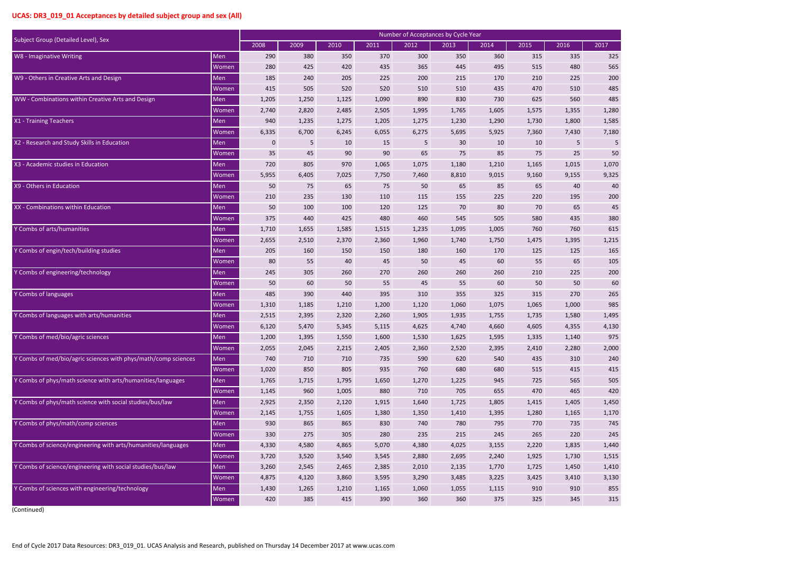| $\overline{)1}$ |       |
|-----------------|-------|
|                 |       |
|                 | 325   |
|                 | 565   |
|                 | 200   |
|                 | 485   |
|                 | 485   |
|                 | 1,280 |
|                 | 1,585 |
|                 | 7,180 |
|                 | 5     |
|                 | 50    |
|                 | 1,070 |
|                 | 9,325 |
|                 | 40    |
|                 | 200   |
|                 | 45    |
|                 | 380   |
|                 | 615   |
|                 | 215   |
|                 | 165   |
|                 | 105   |
|                 | 200   |
|                 | 60    |
|                 | 265   |
|                 | 985   |
|                 | 495   |
|                 | 4,130 |
|                 | 975   |
|                 | 2,000 |
|                 | 240   |
|                 | 415   |
|                 | 505   |
|                 | 420   |
|                 | 1,450 |
|                 | 1,170 |
|                 | 745   |
|                 | 245   |
|                 |       |
|                 | 1,440 |
|                 | 1,515 |
|                 | 1,410 |
|                 | 3,130 |
|                 | 855   |
|                 | 315   |

| Subject Group (Detailed Level), Sex                            |              | Number of Acceptances by Cycle Year |       |       |       |       |       |       |       |       |       |
|----------------------------------------------------------------|--------------|-------------------------------------|-------|-------|-------|-------|-------|-------|-------|-------|-------|
|                                                                |              | 2008                                | 2009  | 2010  | 2011  | 2012  | 2013  | 2014  | 2015  | 2016  | 2017  |
| W8 - Imaginative Writing                                       | Men          | 290                                 | 380   | 350   | 370   | 300   | 350   | 360   | 315   | 335   | 325   |
|                                                                | Women        | 280                                 | 425   | 420   | 435   | 365   | 445   | 495   | 515   | 480   | 565   |
| W9 - Others in Creative Arts and Design                        | Men          | 185                                 | 240   | 205   | 225   | 200   | 215   | 170   | 210   | 225   | 200   |
|                                                                | Women        | 415                                 | 505   | 520   | 520   | 510   | 510   | 435   | 470   | 510   | 485   |
| WW - Combinations within Creative Arts and Design              | Men          | 1,205                               | 1,250 | 1,125 | 1,090 | 890   | 830   | 730   | 625   | 560   | 485   |
|                                                                | Women        | 2,740                               | 2,820 | 2,485 | 2,505 | 1,995 | 1,765 | 1,605 | 1,575 | 1,355 | 1,280 |
| X1 - Training Teachers                                         | Men          | 940                                 | 1,235 | 1,275 | 1,205 | 1,275 | 1,230 | 1,290 | 1,730 | 1,800 | 1,585 |
|                                                                | Women        | 6,335                               | 6,700 | 6,245 | 6,055 | 6,275 | 5,695 | 5,925 | 7,360 | 7,430 | 7,180 |
| X2 - Research and Study Skills in Education                    | Men          | $\mathbf 0$                         | 5     | 10    | 15    | 5     | 30    | 10    | 10    | 5     | 5     |
|                                                                | Women        | 35                                  | 45    | 90    | 90    | 65    | 75    | 85    | 75    | 25    | 50    |
| X3 - Academic studies in Education                             | Men          | 720                                 | 805   | 970   | 1,065 | 1,075 | 1,180 | 1,210 | 1,165 | 1,015 | 1,070 |
|                                                                | Women        | 5,955                               | 6,405 | 7,025 | 7,750 | 7,460 | 8,810 | 9,015 | 9,160 | 9,155 | 9,325 |
| X9 - Others in Education                                       | Men          | 50                                  | 75    | 65    | 75    | 50    | 65    | 85    | 65    | 40    | 40    |
|                                                                | Women        | 210                                 | 235   | 130   | 110   | 115   | 155   | 225   | 220   | 195   | 200   |
| XX - Combinations within Education                             | Men          | 50                                  | 100   | 100   | 120   | 125   | 70    | 80    | 70    | 65    | 45    |
|                                                                | Women        | 375                                 | 440   | 425   | 480   | 460   | 545   | 505   | 580   | 435   | 380   |
| Y Combs of arts/humanities                                     | Men          | 1,710                               | 1,655 | 1,585 | 1,515 | 1,235 | 1,095 | 1,005 | 760   | 760   | 615   |
|                                                                | Women        | 2,655                               | 2,510 | 2,370 | 2,360 | 1,960 | 1,740 | 1,750 | 1,475 | 1,395 | 1,215 |
| Y Combs of engin/tech/building studies                         | Men          | 205                                 | 160   | 150   | 150   | 180   | 160   | 170   | 125   | 125   | 165   |
|                                                                | Women        | 80                                  | 55    | 40    | 45    | 50    | 45    | 60    | 55    | 65    | 105   |
| Y Combs of engineering/technology                              | Men          | 245                                 | 305   | 260   | 270   | 260   | 260   | 260   | 210   | 225   | 200   |
|                                                                | <b>Women</b> | 50                                  | 60    | 50    | 55    | 45    | 55    | 60    | 50    | 50    | 60    |
| Y Combs of languages                                           | Men          | 485                                 | 390   | 440   | 395   | 310   | 355   | 325   | 315   | 270   | 265   |
|                                                                | Women        | 1,310                               | 1,185 | 1,210 | 1,200 | 1,120 | 1,060 | 1,075 | 1,065 | 1,000 | 985   |
| Y Combs of languages with arts/humanities                      | Men          | 2,515                               | 2,395 | 2,320 | 2,260 | 1,905 | 1,935 | 1,755 | 1,735 | 1,580 | 1,495 |
|                                                                | Women        | 6,120                               | 5,470 | 5,345 | 5,115 | 4,625 | 4,740 | 4,660 | 4,605 | 4,355 | 4,130 |
| Y Combs of med/bio/agric sciences                              | Men          | 1,200                               | 1,395 | 1,550 | 1,600 | 1,530 | 1,625 | 1,595 | 1,335 | 1,140 | 975   |
|                                                                | Women        | 2,055                               | 2,045 | 2,215 | 2,405 | 2,360 | 2,520 | 2,395 | 2,410 | 2,280 | 2,000 |
| Y Combs of med/bio/agric sciences with phys/math/comp sciences | Men          | 740                                 | 710   | 710   | 735   | 590   | 620   | 540   | 435   | 310   | 240   |
|                                                                | <b>Women</b> | 1,020                               | 850   | 805   | 935   | 760   | 680   | 680   | 515   | 415   | 415   |
| Y Combs of phys/math science with arts/humanities/languages    | Men          | 1,765                               | 1,715 | 1,795 | 1,650 | 1,270 | 1,225 | 945   | 725   | 565   | 505   |
|                                                                | Women        | 1,145                               | 960   | 1,005 | 880   | 710   | 705   | 655   | 470   | 465   | 420   |
| Y Combs of phys/math science with social studies/bus/law       | Men          | 2,925                               | 2,350 | 2,120 | 1,915 | 1,640 | 1,725 | 1,805 | 1,415 | 1,405 | 1,450 |
|                                                                | Women        | 2,145                               | 1,755 | 1,605 | 1,380 | 1,350 | 1,410 | 1,395 | 1,280 | 1,165 | 1,170 |
| Y Combs of phys/math/comp sciences                             | Men          | 930                                 | 865   | 865   | 830   | 740   | 780   | 795   | 770   | 735   | 745   |
|                                                                | Women        | 330                                 | 275   | 305   | 280   | 235   | 215   | 245   | 265   | 220   | 245   |
| Y Combs of science/engineering with arts/humanities/languages  | Men          | 4,330                               | 4,580 | 4,865 | 5,070 | 4,380 | 4,025 | 3,155 | 2,220 | 1,835 | 1,440 |
|                                                                | Women        | 3,720                               | 3,520 | 3,540 | 3,545 | 2,880 | 2,695 | 2,240 | 1,925 | 1,730 | 1,515 |
| Y Combs of science/engineering with social studies/bus/law     | Men          | 3,260                               | 2,545 | 2,465 | 2,385 | 2,010 | 2,135 | 1,770 | 1,725 | 1,450 | 1,410 |
|                                                                | Women        | 4,875                               | 4,120 | 3,860 | 3,595 | 3,290 | 3,485 | 3,225 | 3,425 | 3,410 | 3,130 |
| Y Combs of sciences with engineering/technology                | Men          | 1,430                               | 1,265 | 1,210 | 1,165 | 1,060 | 1,055 | 1,115 | 910   | 910   | 855   |
|                                                                | Women        | 420                                 | 385   | 415   | 390   | 360   | 360   | 375   | 325   | 345   | 315   |